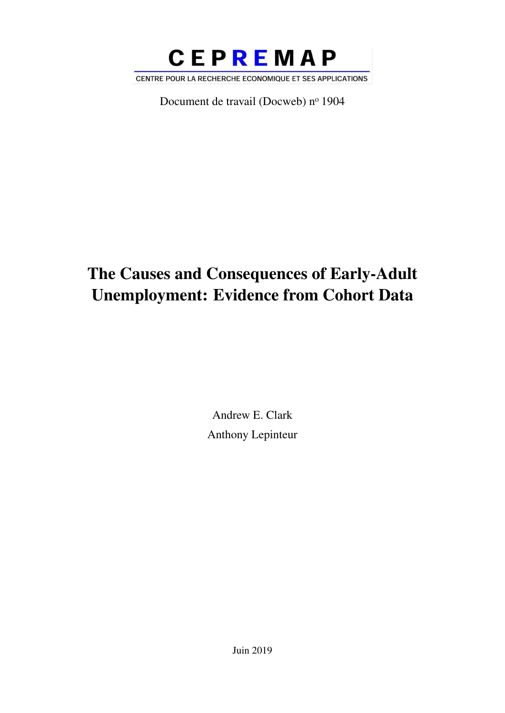

Document de travail (Docweb) nº 1904

# The Causes and Consequences of Early-Adult Unemployment: Evidence from Cohort Data

Andrew E. Clark Anthony Lepinteur

Juin 2019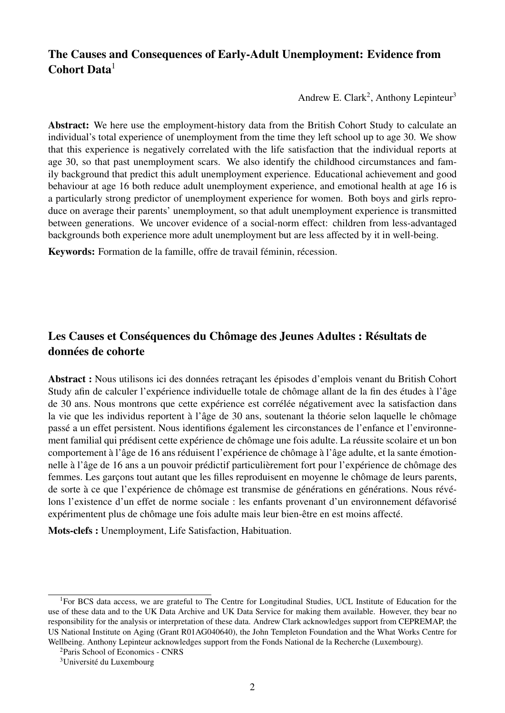### The Causes and Consequences of Early-Adult Unemployment: Evidence from Cohort Data<sup>1</sup>

Andrew E. Clark<sup>2</sup>, Anthony Lepinteur<sup>3</sup>

Abstract: We here use the employment-history data from the British Cohort Study to calculate an individual's total experience of unemployment from the time they left school up to age 30. We show that this experience is negatively correlated with the life satisfaction that the individual reports at age 30, so that past unemployment scars. We also identify the childhood circumstances and family background that predict this adult unemployment experience. Educational achievement and good behaviour at age 16 both reduce adult unemployment experience, and emotional health at age 16 is a particularly strong predictor of unemployment experience for women. Both boys and girls reproduce on average their parents' unemployment, so that adult unemployment experience is transmitted between generations. We uncover evidence of a social-norm effect: children from less-advantaged backgrounds both experience more adult unemployment but are less affected by it in well-being.

Keywords: Formation de la famille, offre de travail féminin, récession.

### Les Causes et Conséquences du Chômage des Jeunes Adultes : Résultats de données de cohorte

Abstract : Nous utilisons ici des données retraçant les épisodes d'emplois venant du British Cohort Study afin de calculer l'expérience individuelle totale de chômage allant de la fin des études à l'âge de 30 ans. Nous montrons que cette expérience est corrélée négativement avec la satisfaction dans la vie que les individus reportent à l'âge de 30 ans, soutenant la théorie selon laquelle le chômage passé a un effet persistent. Nous identifions également les circonstances de l'enfance et l'environnement familial qui prédisent cette expérience de chômage une fois adulte. La réussite scolaire et un bon comportement à l'âge de 16 ans réduisent l'expérience de chômage à l'âge adulte, et la sante émotionnelle à l'âge de 16 ans a un pouvoir prédictif particulièrement fort pour l'expérience de chômage des femmes. Les garçons tout autant que les filles reproduisent en moyenne le chômage de leurs parents, de sorte à ce que l'expérience de chômage est transmise de générations en générations. Nous révélons l'existence d'un effet de norme sociale : les enfants provenant d'un environnement défavorisé expérimentent plus de chômage une fois adulte mais leur bien-être en est moins affecté.

Mots-clefs : Unemployment, Life Satisfaction, Habituation.

<sup>1</sup>For BCS data access, we are grateful to The Centre for Longitudinal Studies, UCL Institute of Education for the use of these data and to the UK Data Archive and UK Data Service for making them available. However, they bear no responsibility for the analysis or interpretation of these data. Andrew Clark acknowledges support from CEPREMAP, the US National Institute on Aging (Grant R01AG040640), the John Templeton Foundation and the What Works Centre for Wellbeing. Anthony Lepinteur acknowledges support from the Fonds National de la Recherche (Luxembourg).

<sup>2</sup>Paris School of Economics - CNRS

<sup>3</sup>Université du Luxembourg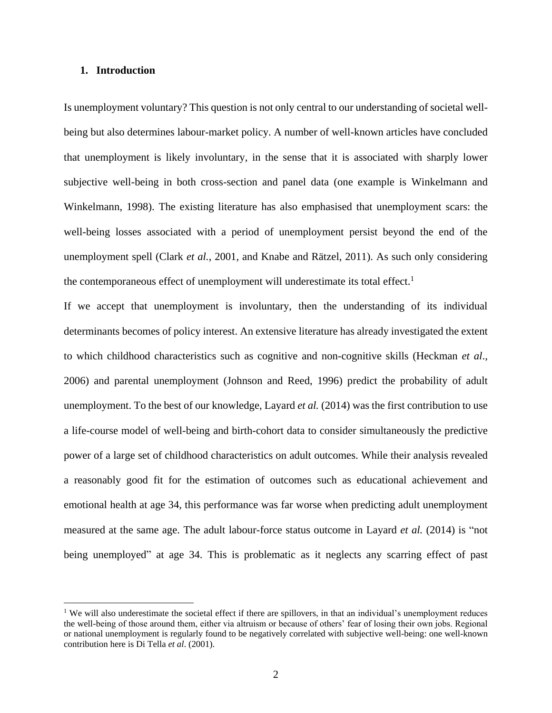#### **1. Introduction**

 $\overline{a}$ 

Is unemployment voluntary? This question is not only central to our understanding of societal wellbeing but also determines labour-market policy. A number of well-known articles have concluded that unemployment is likely involuntary, in the sense that it is associated with sharply lower subjective well-being in both cross-section and panel data (one example is Winkelmann and Winkelmann, 1998). The existing literature has also emphasised that unemployment scars: the well-being losses associated with a period of unemployment persist beyond the end of the unemployment spell (Clark *et al.*, 2001, and Knabe and Rätzel, 2011). As such only considering the contemporaneous effect of unemployment will underestimate its total effect.<sup>1</sup>

If we accept that unemployment is involuntary, then the understanding of its individual determinants becomes of policy interest. An extensive literature has already investigated the extent to which childhood characteristics such as cognitive and non-cognitive skills (Heckman *et al*., 2006) and parental unemployment (Johnson and Reed, 1996) predict the probability of adult unemployment. To the best of our knowledge, Layard *et al.* (2014) was the first contribution to use a life-course model of well-being and birth-cohort data to consider simultaneously the predictive power of a large set of childhood characteristics on adult outcomes. While their analysis revealed a reasonably good fit for the estimation of outcomes such as educational achievement and emotional health at age 34, this performance was far worse when predicting adult unemployment measured at the same age. The adult labour-force status outcome in Layard *et al.* (2014) is "not being unemployed" at age 34. This is problematic as it neglects any scarring effect of past

<sup>&</sup>lt;sup>1</sup> We will also underestimate the societal effect if there are spillovers, in that an individual's unemployment reduces the well-being of those around them, either via altruism or because of others' fear of losing their own jobs. Regional or national unemployment is regularly found to be negatively correlated with subjective well-being: one well-known contribution here is Di Tella *et al*. (2001).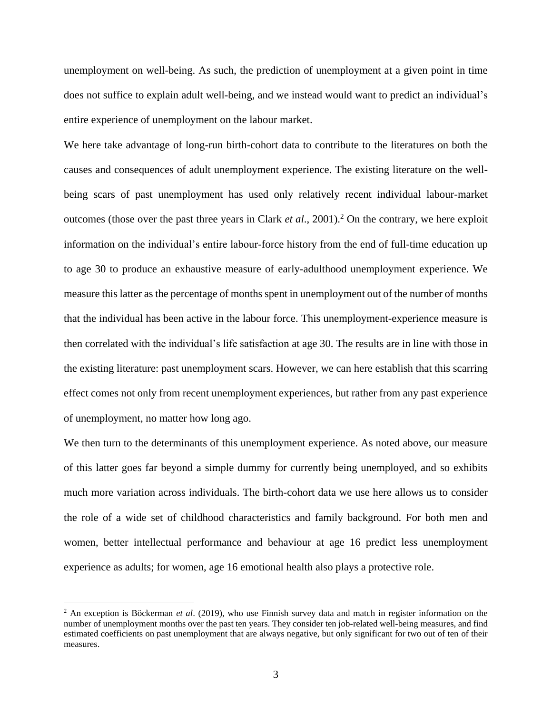unemployment on well-being. As such, the prediction of unemployment at a given point in time does not suffice to explain adult well-being, and we instead would want to predict an individual's entire experience of unemployment on the labour market.

We here take advantage of long-run birth-cohort data to contribute to the literatures on both the causes and consequences of adult unemployment experience. The existing literature on the wellbeing scars of past unemployment has used only relatively recent individual labour-market outcomes (those over the past three years in Clark *et al*., 2001).<sup>2</sup> On the contrary, we here exploit information on the individual's entire labour-force history from the end of full-time education up to age 30 to produce an exhaustive measure of early-adulthood unemployment experience. We measure this latter as the percentage of months spent in unemployment out of the number of months that the individual has been active in the labour force. This unemployment-experience measure is then correlated with the individual's life satisfaction at age 30. The results are in line with those in the existing literature: past unemployment scars. However, we can here establish that this scarring effect comes not only from recent unemployment experiences, but rather from any past experience of unemployment, no matter how long ago.

We then turn to the determinants of this unemployment experience. As noted above, our measure of this latter goes far beyond a simple dummy for currently being unemployed, and so exhibits much more variation across individuals. The birth-cohort data we use here allows us to consider the role of a wide set of childhood characteristics and family background. For both men and women, better intellectual performance and behaviour at age 16 predict less unemployment experience as adults; for women, age 16 emotional health also plays a protective role.

<sup>2</sup> An exception is Böckerman *et al*. (2019), who use Finnish survey data and match in register information on the number of unemployment months over the past ten years. They consider ten job-related well-being measures, and find estimated coefficients on past unemployment that are always negative, but only significant for two out of ten of their measures.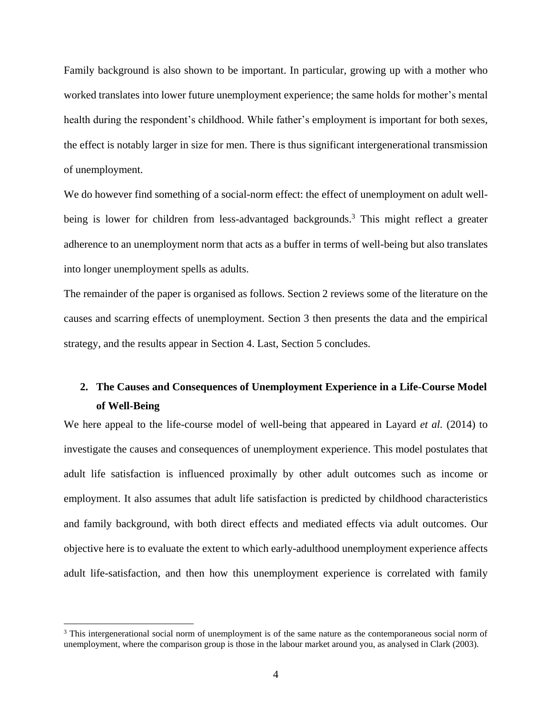Family background is also shown to be important. In particular, growing up with a mother who worked translates into lower future unemployment experience; the same holds for mother's mental health during the respondent's childhood. While father's employment is important for both sexes, the effect is notably larger in size for men. There is thus significant intergenerational transmission of unemployment.

We do however find something of a social-norm effect: the effect of unemployment on adult wellbeing is lower for children from less-advantaged backgrounds.<sup>3</sup> This might reflect a greater adherence to an unemployment norm that acts as a buffer in terms of well-being but also translates into longer unemployment spells as adults.

The remainder of the paper is organised as follows. Section 2 reviews some of the literature on the causes and scarring effects of unemployment. Section 3 then presents the data and the empirical strategy, and the results appear in Section 4. Last, Section 5 concludes.

### **2. The Causes and Consequences of Unemployment Experience in a Life-Course Model of Well-Being**

We here appeal to the life-course model of well-being that appeared in Layard *et al.* (2014) to investigate the causes and consequences of unemployment experience. This model postulates that adult life satisfaction is influenced proximally by other adult outcomes such as income or employment. It also assumes that adult life satisfaction is predicted by childhood characteristics and family background, with both direct effects and mediated effects via adult outcomes. Our objective here is to evaluate the extent to which early-adulthood unemployment experience affects adult life-satisfaction, and then how this unemployment experience is correlated with family

<sup>&</sup>lt;sup>3</sup> This intergenerational social norm of unemployment is of the same nature as the contemporaneous social norm of unemployment, where the comparison group is those in the labour market around you, as analysed in Clark (2003).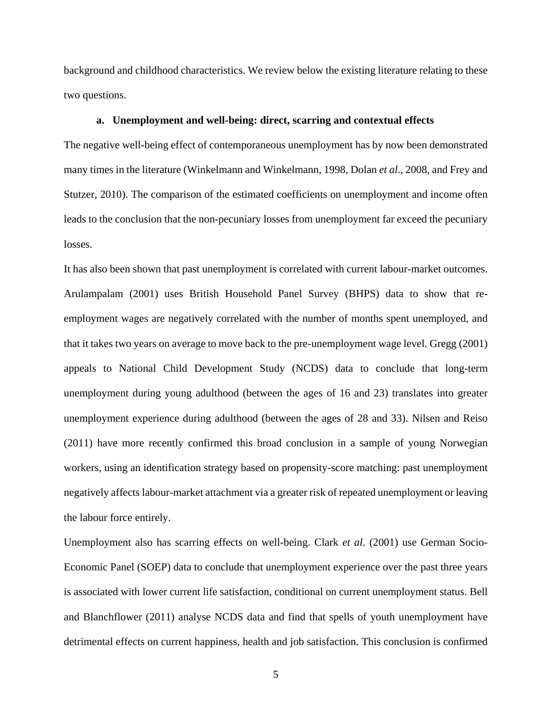background and childhood characteristics. We review below the existing literature relating to these two questions.

#### **a. Unemployment and well-being: direct, scarring and contextual effects**

The negative well-being effect of contemporaneous unemployment has by now been demonstrated many times in the literature (Winkelmann and Winkelmann, 1998, Dolan *et al*., 2008, and Frey and Stutzer, 2010). The comparison of the estimated coefficients on unemployment and income often leads to the conclusion that the non-pecuniary losses from unemployment far exceed the pecuniary losses.

It has also been shown that past unemployment is correlated with current labour-market outcomes. Arulampalam (2001) uses British Household Panel Survey (BHPS) data to show that reemployment wages are negatively correlated with the number of months spent unemployed, and that it takes two years on average to move back to the pre-unemployment wage level. Gregg (2001) appeals to National Child Development Study (NCDS) data to conclude that long-term unemployment during young adulthood (between the ages of 16 and 23) translates into greater unemployment experience during adulthood (between the ages of 28 and 33). Nilsen and Reiso (2011) have more recently confirmed this broad conclusion in a sample of young Norwegian workers, using an identification strategy based on propensity-score matching: past unemployment negatively affects labour-market attachment via a greater risk of repeated unemployment or leaving the labour force entirely.

Unemployment also has scarring effects on well-being. Clark *et al*. (2001) use German Socio-Economic Panel (SOEP) data to conclude that unemployment experience over the past three years is associated with lower current life satisfaction, conditional on current unemployment status. Bell and Blanchflower (2011) analyse NCDS data and find that spells of youth unemployment have detrimental effects on current happiness, health and job satisfaction. This conclusion is confirmed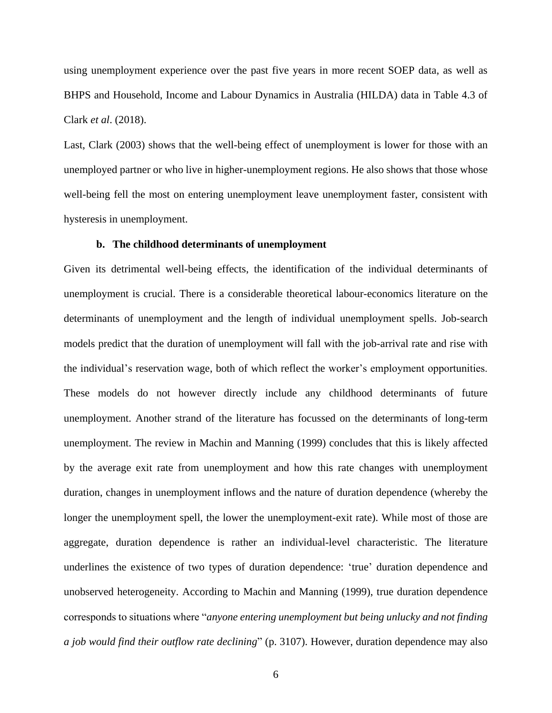using unemployment experience over the past five years in more recent SOEP data, as well as BHPS and Household, Income and Labour Dynamics in Australia (HILDA) data in Table 4.3 of Clark *et al*. (2018).

Last, Clark (2003) shows that the well-being effect of unemployment is lower for those with an unemployed partner or who live in higher-unemployment regions. He also shows that those whose well-being fell the most on entering unemployment leave unemployment faster, consistent with hysteresis in unemployment.

#### **b. The childhood determinants of unemployment**

Given its detrimental well-being effects, the identification of the individual determinants of unemployment is crucial. There is a considerable theoretical labour-economics literature on the determinants of unemployment and the length of individual unemployment spells. Job-search models predict that the duration of unemployment will fall with the job-arrival rate and rise with the individual's reservation wage, both of which reflect the worker's employment opportunities. These models do not however directly include any childhood determinants of future unemployment. Another strand of the literature has focussed on the determinants of long-term unemployment. The review in Machin and Manning (1999) concludes that this is likely affected by the average exit rate from unemployment and how this rate changes with unemployment duration, changes in unemployment inflows and the nature of duration dependence (whereby the longer the unemployment spell, the lower the unemployment-exit rate). While most of those are aggregate, duration dependence is rather an individual-level characteristic. The literature underlines the existence of two types of duration dependence: 'true' duration dependence and unobserved heterogeneity. According to Machin and Manning (1999), true duration dependence corresponds to situations where "*anyone entering unemployment but being unlucky and not finding a job would find their outflow rate declining*" (p. 3107). However, duration dependence may also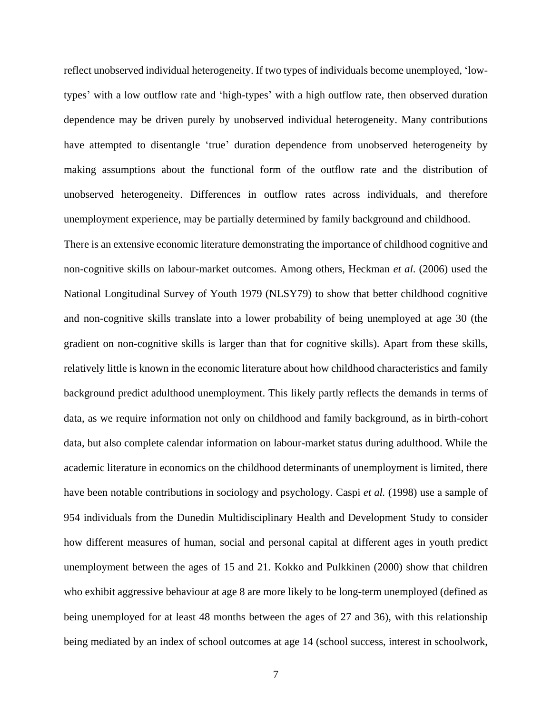reflect unobserved individual heterogeneity. If two types of individuals become unemployed, 'lowtypes' with a low outflow rate and 'high-types' with a high outflow rate, then observed duration dependence may be driven purely by unobserved individual heterogeneity. Many contributions have attempted to disentangle 'true' duration dependence from unobserved heterogeneity by making assumptions about the functional form of the outflow rate and the distribution of unobserved heterogeneity. Differences in outflow rates across individuals, and therefore unemployment experience, may be partially determined by family background and childhood.

There is an extensive economic literature demonstrating the importance of childhood cognitive and non-cognitive skills on labour-market outcomes. Among others, Heckman *et al*. (2006) used the National Longitudinal Survey of Youth 1979 (NLSY79) to show that better childhood cognitive and non-cognitive skills translate into a lower probability of being unemployed at age 30 (the gradient on non-cognitive skills is larger than that for cognitive skills). Apart from these skills, relatively little is known in the economic literature about how childhood characteristics and family background predict adulthood unemployment. This likely partly reflects the demands in terms of data, as we require information not only on childhood and family background, as in birth-cohort data, but also complete calendar information on labour-market status during adulthood. While the academic literature in economics on the childhood determinants of unemployment is limited, there have been notable contributions in sociology and psychology. Caspi *et al.* (1998) use a sample of 954 individuals from the Dunedin Multidisciplinary Health and Development Study to consider how different measures of human, social and personal capital at different ages in youth predict unemployment between the ages of 15 and 21. Kokko and Pulkkinen (2000) show that children who exhibit aggressive behaviour at age 8 are more likely to be long-term unemployed (defined as being unemployed for at least 48 months between the ages of 27 and 36), with this relationship being mediated by an index of school outcomes at age 14 (school success, interest in schoolwork,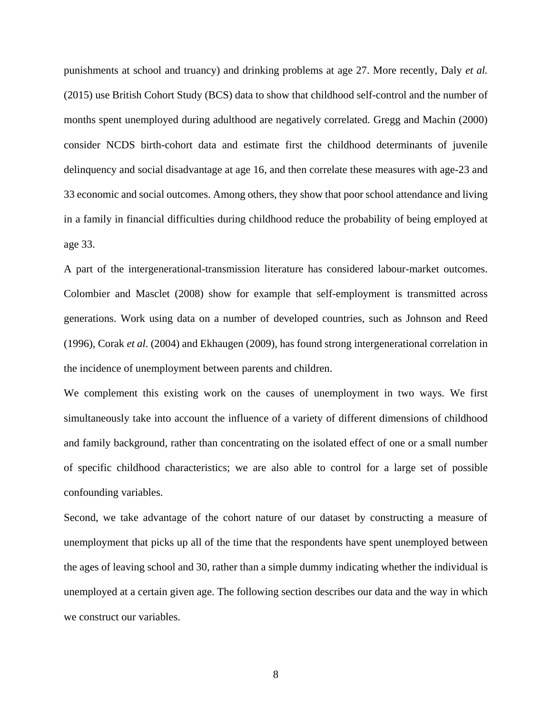punishments at school and truancy) and drinking problems at age 27. More recently, Daly *et al.* (2015) use British Cohort Study (BCS) data to show that childhood self-control and the number of months spent unemployed during adulthood are negatively correlated. Gregg and Machin (2000) consider NCDS birth-cohort data and estimate first the childhood determinants of juvenile delinquency and social disadvantage at age 16, and then correlate these measures with age-23 and 33 economic and social outcomes. Among others, they show that poor school attendance and living in a family in financial difficulties during childhood reduce the probability of being employed at age 33.

A part of the intergenerational-transmission literature has considered labour-market outcomes. Colombier and Masclet (2008) show for example that self-employment is transmitted across generations. Work using data on a number of developed countries, such as Johnson and Reed (1996), Corak *et al*. (2004) and Ekhaugen (2009), has found strong intergenerational correlation in the incidence of unemployment between parents and children.

We complement this existing work on the causes of unemployment in two ways. We first simultaneously take into account the influence of a variety of different dimensions of childhood and family background, rather than concentrating on the isolated effect of one or a small number of specific childhood characteristics; we are also able to control for a large set of possible confounding variables.

Second, we take advantage of the cohort nature of our dataset by constructing a measure of unemployment that picks up all of the time that the respondents have spent unemployed between the ages of leaving school and 30, rather than a simple dummy indicating whether the individual is unemployed at a certain given age. The following section describes our data and the way in which we construct our variables.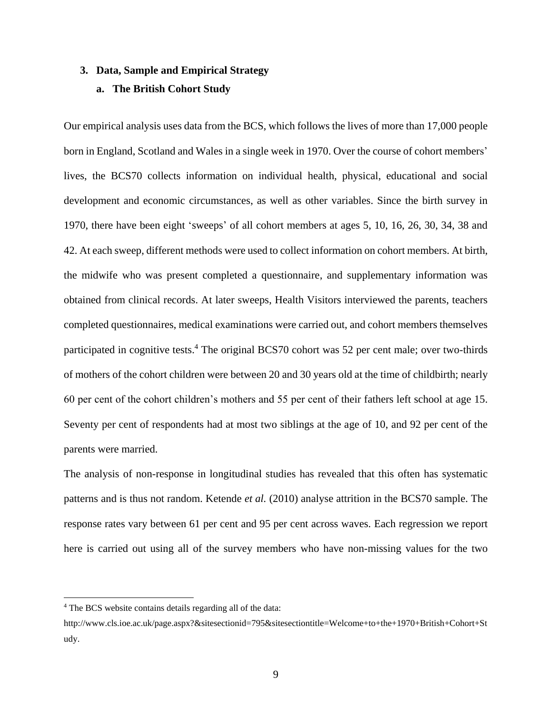#### **3. Data, Sample and Empirical Strategy**

#### **a. The British Cohort Study**

Our empirical analysis uses data from the BCS, which follows the lives of more than 17,000 people born in England, Scotland and Wales in a single week in 1970. Over the course of cohort members' lives, the BCS70 collects information on individual health, physical, educational and social development and economic circumstances, as well as other variables. Since the birth survey in 1970, there have been eight 'sweeps' of all cohort members at ages 5, 10, 16, 26, 30, 34, 38 and 42. At each sweep, different methods were used to collect information on cohort members. At birth, the midwife who was present completed a questionnaire, and supplementary information was obtained from clinical records. At later sweeps, Health Visitors interviewed the parents, teachers completed questionnaires, medical examinations were carried out, and cohort members themselves participated in cognitive tests.<sup>4</sup> The original BCS70 cohort was 52 per cent male; over two-thirds of mothers of the cohort children were between 20 and 30 years old at the time of childbirth; nearly 60 per cent of the cohort children's mothers and 55 per cent of their fathers left school at age 15. Seventy per cent of respondents had at most two siblings at the age of 10, and 92 per cent of the parents were married.

The analysis of non-response in longitudinal studies has revealed that this often has systematic patterns and is thus not random. Ketende *et al.* (2010) analyse attrition in the BCS70 sample. The response rates vary between 61 per cent and 95 per cent across waves. Each regression we report here is carried out using all of the survey members who have non-missing values for the two

<sup>4</sup> The BCS website contains details regarding all of the data:

http://www.cls.ioe.ac.uk/page.aspx?&sitesectionid=795&sitesectiontitle=Welcome+to+the+1970+British+Cohort+St udy.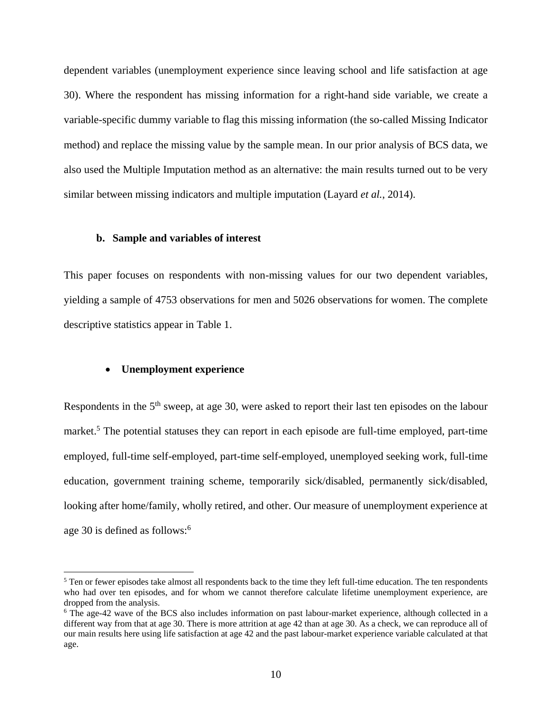dependent variables (unemployment experience since leaving school and life satisfaction at age 30). Where the respondent has missing information for a right-hand side variable, we create a variable-specific dummy variable to flag this missing information (the so-called Missing Indicator method) and replace the missing value by the sample mean. In our prior analysis of BCS data, we also used the Multiple Imputation method as an alternative: the main results turned out to be very similar between missing indicators and multiple imputation (Layard *et al.*, 2014).

#### **b. Sample and variables of interest**

This paper focuses on respondents with non-missing values for our two dependent variables, yielding a sample of 4753 observations for men and 5026 observations for women. The complete descriptive statistics appear in Table 1.

#### **Unemployment experience**

 $\overline{a}$ 

Respondents in the  $5<sup>th</sup>$  sweep, at age 30, were asked to report their last ten episodes on the labour market.<sup>5</sup> The potential statuses they can report in each episode are full-time employed, part-time employed, full-time self-employed, part-time self-employed, unemployed seeking work, full-time education, government training scheme, temporarily sick/disabled, permanently sick/disabled, looking after home/family, wholly retired, and other. Our measure of unemployment experience at age 30 is defined as follows:<sup>6</sup>

 $5$  Ten or fewer episodes take almost all respondents back to the time they left full-time education. The ten respondents who had over ten episodes, and for whom we cannot therefore calculate lifetime unemployment experience, are dropped from the analysis.

<sup>&</sup>lt;sup>6</sup> The age-42 wave of the BCS also includes information on past labour-market experience, although collected in a different way from that at age 30. There is more attrition at age 42 than at age 30. As a check, we can reproduce all of our main results here using life satisfaction at age 42 and the past labour-market experience variable calculated at that age.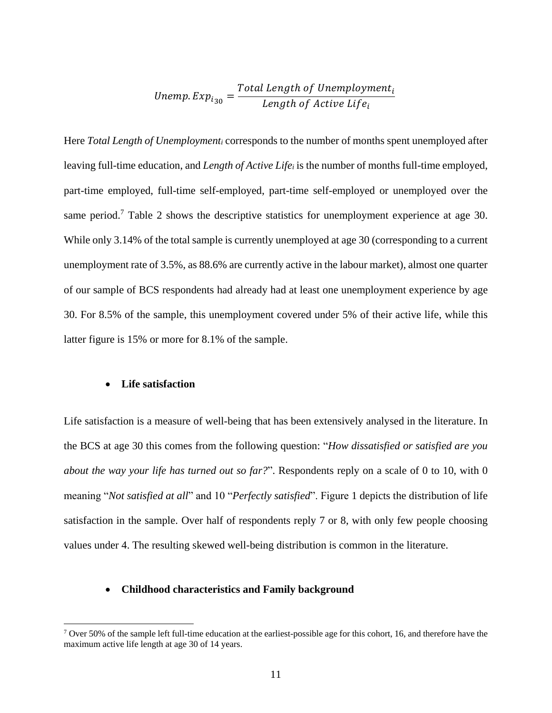Unemp. 
$$
Exp_{i_{30}} = \frac{Total Length of Unemboyment_i}{Length of Active Life_i}
$$

Here *Total Length of Unemployment<sup>i</sup>* corresponds to the number of months spent unemployed after leaving full-time education, and *Length of Active Life<sup>i</sup>* is the number of months full-time employed, part-time employed, full-time self-employed, part-time self-employed or unemployed over the same period.<sup>7</sup> Table 2 shows the descriptive statistics for unemployment experience at age 30. While only 3.14% of the total sample is currently unemployed at age 30 (corresponding to a current unemployment rate of 3.5%, as 88.6% are currently active in the labour market), almost one quarter of our sample of BCS respondents had already had at least one unemployment experience by age 30. For 8.5% of the sample, this unemployment covered under 5% of their active life, while this latter figure is 15% or more for 8.1% of the sample.

#### **Life satisfaction**

 $\overline{a}$ 

Life satisfaction is a measure of well-being that has been extensively analysed in the literature. In the BCS at age 30 this comes from the following question: "*How dissatisfied or satisfied are you about the way your life has turned out so far?*". Respondents reply on a scale of 0 to 10, with 0 meaning "*Not satisfied at all*" and 10 "*Perfectly satisfied*". Figure 1 depicts the distribution of life satisfaction in the sample. Over half of respondents reply 7 or 8, with only few people choosing values under 4. The resulting skewed well-being distribution is common in the literature.

#### **Childhood characteristics and Family background**

 $7$  Over 50% of the sample left full-time education at the earliest-possible age for this cohort, 16, and therefore have the maximum active life length at age 30 of 14 years.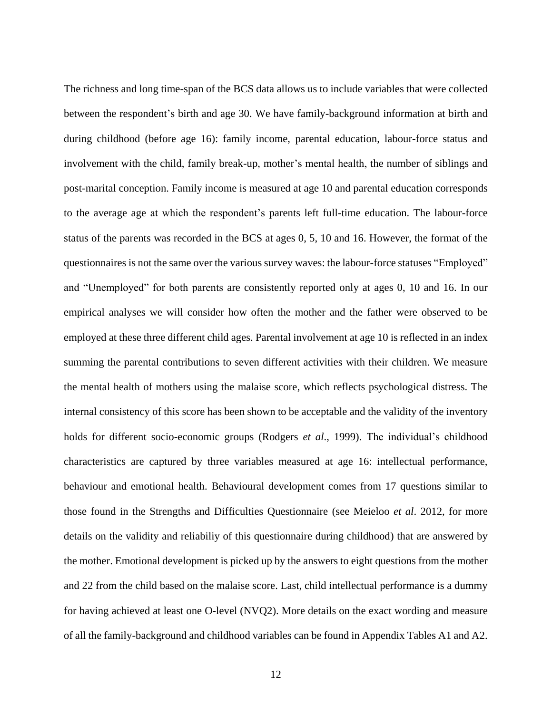The richness and long time-span of the BCS data allows us to include variables that were collected between the respondent's birth and age 30. We have family-background information at birth and during childhood (before age 16): family income, parental education, labour-force status and involvement with the child, family break-up, mother's mental health, the number of siblings and post-marital conception. Family income is measured at age 10 and parental education corresponds to the average age at which the respondent's parents left full-time education. The labour-force status of the parents was recorded in the BCS at ages 0, 5, 10 and 16. However, the format of the questionnaires is not the same over the various survey waves: the labour-force statuses "Employed" and "Unemployed" for both parents are consistently reported only at ages 0, 10 and 16. In our empirical analyses we will consider how often the mother and the father were observed to be employed at these three different child ages. Parental involvement at age 10 is reflected in an index summing the parental contributions to seven different activities with their children. We measure the mental health of mothers using the malaise score, which reflects psychological distress. The internal consistency of this score has been shown to be acceptable and the validity of the inventory holds for different socio-economic groups (Rodgers *et al*., 1999). The individual's childhood characteristics are captured by three variables measured at age 16: intellectual performance, behaviour and emotional health. Behavioural development comes from 17 questions similar to those found in the Strengths and Difficulties Questionnaire (see Meieloo *et al*. 2012, for more details on the validity and reliabiliy of this questionnaire during childhood) that are answered by the mother. Emotional development is picked up by the answers to eight questions from the mother and 22 from the child based on the malaise score. Last, child intellectual performance is a dummy for having achieved at least one O-level (NVQ2). More details on the exact wording and measure of all the family-background and childhood variables can be found in Appendix Tables A1 and A2.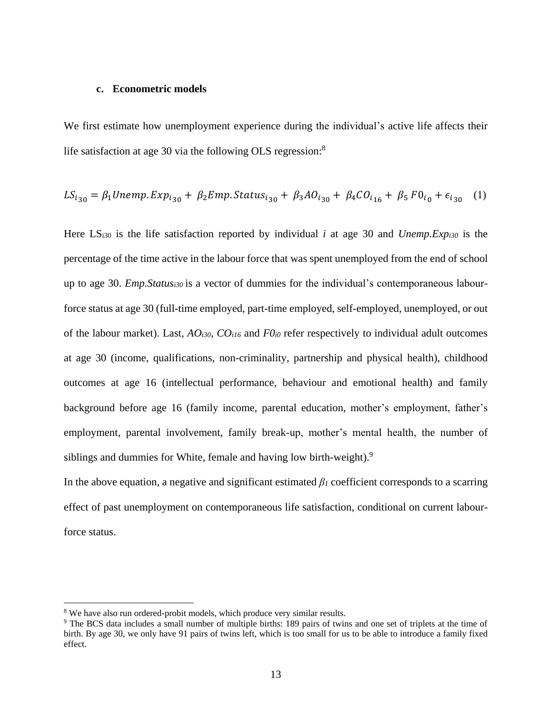#### **c. Econometric models**

We first estimate how unemployment experience during the individual's active life affects their life satisfaction at age 30 via the following OLS regression:<sup>8</sup>

$$
LS_{i_{30}} = \beta_1 Unemp. Exp_{i_{30}} + \beta_2 Emp. Status_{i_{30}} + \beta_3 AO_{i_{30}} + \beta_4 CO_{i_{16}} + \beta_5 FO_{i_0} + \epsilon_{i_{30}} \quad (1)
$$

Here LS<sub>i30</sub> is the life satisfaction reported by individual *i* at age 30 and *Unemp. Exp<sub>i30</sub>* is the percentage of the time active in the labour force that was spent unemployed from the end of school up to age 30. *Emp.Statusi30* is a vector of dummies for the individual's contemporaneous labourforce status at age 30 (full-time employed, part-time employed, self-employed, unemployed, or out of the labour market). Last, *AOi30*, *COi16* and *F0i0* refer respectively to individual adult outcomes at age 30 (income, qualifications, non-criminality, partnership and physical health), childhood outcomes at age 16 (intellectual performance, behaviour and emotional health) and family background before age 16 (family income, parental education, mother's employment, father's employment, parental involvement, family break-up, mother's mental health, the number of siblings and dummies for White, female and having low birth-weight).<sup>9</sup>

In the above equation, a negative and significant estimated *β<sup>1</sup>* coefficient corresponds to a scarring effect of past unemployment on contemporaneous life satisfaction, conditional on current labourforce status.

<sup>8</sup> We have also run ordered-probit models, which produce very similar results.

<sup>&</sup>lt;sup>9</sup> The BCS data includes a small number of multiple births: 189 pairs of twins and one set of triplets at the time of birth. By age 30, we only have 91 pairs of twins left, which is too small for us to be able to introduce a family fixed effect.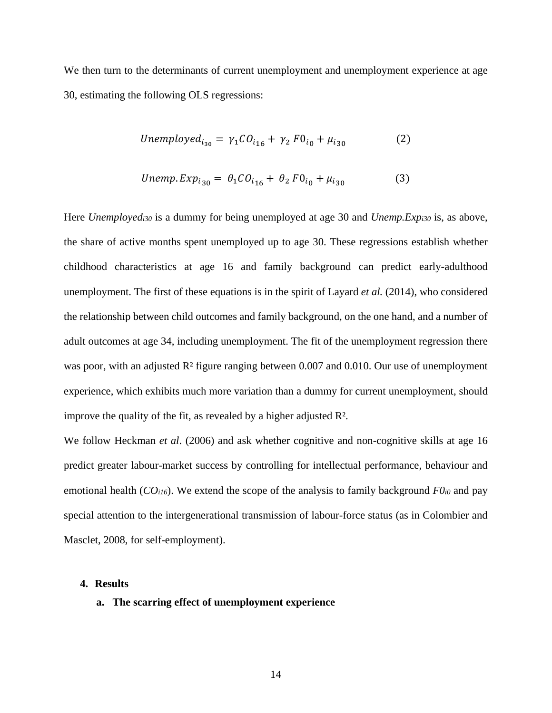We then turn to the determinants of current unemployment and unemployment experience at age 30, estimating the following OLS regressions:

Unemployed<sub>i<sub>30</sub></sub> = 
$$
\gamma_1 CO_{i_{16}} + \gamma_2 F0_{i_0} + \mu_{i_{30}}
$$
 (2)

*Unemp*. 
$$
Exp_{i_{30}} = \theta_1 CO_{i_{16}} + \theta_2 F0_{i_0} + \mu_{i_{30}}
$$
 (3)

Here *Unemployedi30* is a dummy for being unemployed at age 30 and *Unemp.Expi30* is, as above, the share of active months spent unemployed up to age 30. These regressions establish whether childhood characteristics at age 16 and family background can predict early-adulthood unemployment. The first of these equations is in the spirit of Layard *et al.* (2014), who considered the relationship between child outcomes and family background, on the one hand, and a number of adult outcomes at age 34, including unemployment. The fit of the unemployment regression there was poor, with an adjusted R<sup>2</sup> figure ranging between 0.007 and 0.010. Our use of unemployment experience, which exhibits much more variation than a dummy for current unemployment, should improve the quality of the fit, as revealed by a higher adjusted R².

We follow Heckman *et al.* (2006) and ask whether cognitive and non-cognitive skills at age 16 predict greater labour-market success by controlling for intellectual performance, behaviour and emotional health (*COi16*). We extend the scope of the analysis to family background *F0i0* and pay special attention to the intergenerational transmission of labour-force status (as in Colombier and Masclet, 2008, for self-employment).

#### **4. Results**

#### **a. The scarring effect of unemployment experience**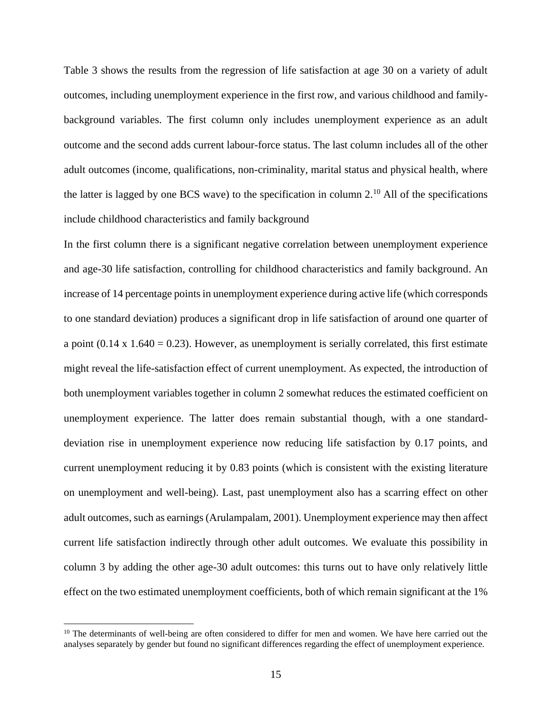Table 3 shows the results from the regression of life satisfaction at age 30 on a variety of adult outcomes, including unemployment experience in the first row, and various childhood and familybackground variables. The first column only includes unemployment experience as an adult outcome and the second adds current labour-force status. The last column includes all of the other adult outcomes (income, qualifications, non-criminality, marital status and physical health, where the latter is lagged by one BCS wave) to the specification in column  $2<sup>10</sup>$  All of the specifications include childhood characteristics and family background

In the first column there is a significant negative correlation between unemployment experience and age-30 life satisfaction, controlling for childhood characteristics and family background. An increase of 14 percentage points in unemployment experience during active life (which corresponds to one standard deviation) produces a significant drop in life satisfaction of around one quarter of a point  $(0.14 \times 1.640 = 0.23)$ . However, as unemployment is serially correlated, this first estimate might reveal the life-satisfaction effect of current unemployment. As expected, the introduction of both unemployment variables together in column 2 somewhat reduces the estimated coefficient on unemployment experience. The latter does remain substantial though, with a one standarddeviation rise in unemployment experience now reducing life satisfaction by 0.17 points, and current unemployment reducing it by 0.83 points (which is consistent with the existing literature on unemployment and well-being). Last, past unemployment also has a scarring effect on other adult outcomes, such as earnings(Arulampalam, 2001). Unemployment experience may then affect current life satisfaction indirectly through other adult outcomes. We evaluate this possibility in column 3 by adding the other age-30 adult outcomes: this turns out to have only relatively little effect on the two estimated unemployment coefficients, both of which remain significant at the 1%

<sup>&</sup>lt;sup>10</sup> The determinants of well-being are often considered to differ for men and women. We have here carried out the analyses separately by gender but found no significant differences regarding the effect of unemployment experience.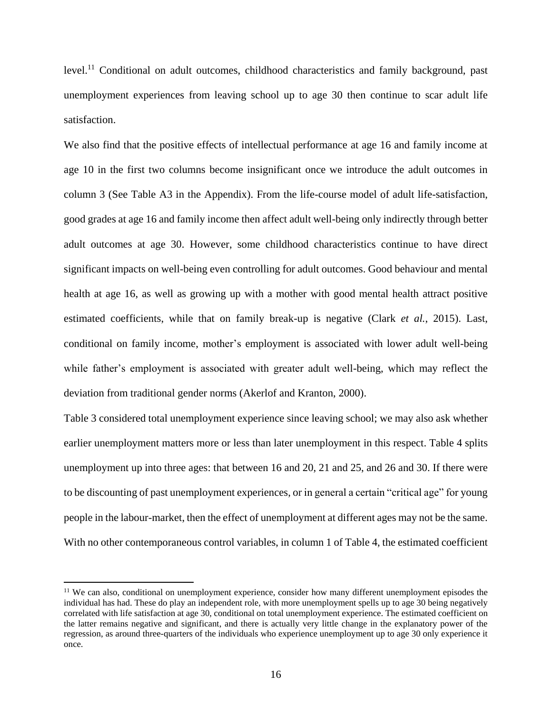level.<sup>11</sup> Conditional on adult outcomes, childhood characteristics and family background, past unemployment experiences from leaving school up to age 30 then continue to scar adult life satisfaction.

We also find that the positive effects of intellectual performance at age 16 and family income at age 10 in the first two columns become insignificant once we introduce the adult outcomes in column 3 (See Table A3 in the Appendix). From the life-course model of adult life-satisfaction, good grades at age 16 and family income then affect adult well-being only indirectly through better adult outcomes at age 30. However, some childhood characteristics continue to have direct significant impacts on well-being even controlling for adult outcomes. Good behaviour and mental health at age 16, as well as growing up with a mother with good mental health attract positive estimated coefficients, while that on family break-up is negative (Clark *et al.*, 2015). Last, conditional on family income, mother's employment is associated with lower adult well-being while father's employment is associated with greater adult well-being, which may reflect the deviation from traditional gender norms (Akerlof and Kranton, 2000).

Table 3 considered total unemployment experience since leaving school; we may also ask whether earlier unemployment matters more or less than later unemployment in this respect. Table 4 splits unemployment up into three ages: that between 16 and 20, 21 and 25, and 26 and 30. If there were to be discounting of past unemployment experiences, or in general a certain "critical age" for young people in the labour-market, then the effect of unemployment at different ages may not be the same. With no other contemporaneous control variables, in column 1 of Table 4, the estimated coefficient

<sup>&</sup>lt;sup>11</sup> We can also, conditional on unemployment experience, consider how many different unemployment episodes the individual has had. These do play an independent role, with more unemployment spells up to age 30 being negatively correlated with life satisfaction at age 30, conditional on total unemployment experience. The estimated coefficient on the latter remains negative and significant, and there is actually very little change in the explanatory power of the regression, as around three-quarters of the individuals who experience unemployment up to age 30 only experience it once.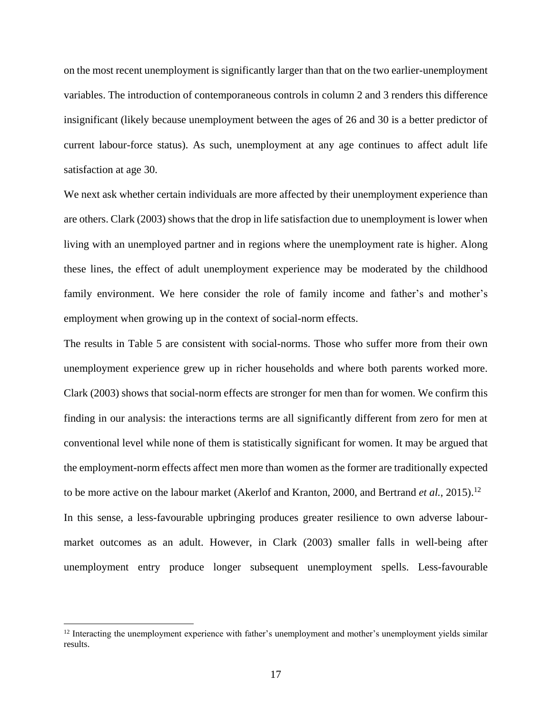on the most recent unemployment is significantly larger than that on the two earlier-unemployment variables. The introduction of contemporaneous controls in column 2 and 3 renders this difference insignificant (likely because unemployment between the ages of 26 and 30 is a better predictor of current labour-force status). As such, unemployment at any age continues to affect adult life satisfaction at age 30.

We next ask whether certain individuals are more affected by their unemployment experience than are others. Clark (2003) shows that the drop in life satisfaction due to unemployment is lower when living with an unemployed partner and in regions where the unemployment rate is higher. Along these lines, the effect of adult unemployment experience may be moderated by the childhood family environment. We here consider the role of family income and father's and mother's employment when growing up in the context of social-norm effects.

The results in Table 5 are consistent with social-norms. Those who suffer more from their own unemployment experience grew up in richer households and where both parents worked more. Clark (2003) shows that social-norm effects are stronger for men than for women. We confirm this finding in our analysis: the interactions terms are all significantly different from zero for men at conventional level while none of them is statistically significant for women. It may be argued that the employment-norm effects affect men more than women as the former are traditionally expected to be more active on the labour market (Akerlof and Kranton, 2000, and Bertrand *et al.*, 2015). 12 In this sense, a less-favourable upbringing produces greater resilience to own adverse labourmarket outcomes as an adult. However, in Clark (2003) smaller falls in well-being after unemployment entry produce longer subsequent unemployment spells. Less-favourable

<sup>&</sup>lt;sup>12</sup> Interacting the unemployment experience with father's unemployment and mother's unemployment yields similar results.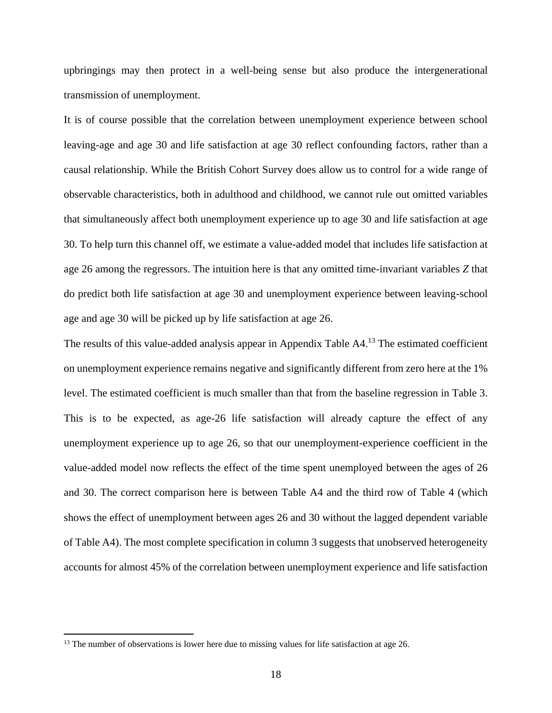upbringings may then protect in a well-being sense but also produce the intergenerational transmission of unemployment.

It is of course possible that the correlation between unemployment experience between school leaving-age and age 30 and life satisfaction at age 30 reflect confounding factors, rather than a causal relationship. While the British Cohort Survey does allow us to control for a wide range of observable characteristics, both in adulthood and childhood, we cannot rule out omitted variables that simultaneously affect both unemployment experience up to age 30 and life satisfaction at age 30. To help turn this channel off, we estimate a value-added model that includes life satisfaction at age 26 among the regressors. The intuition here is that any omitted time-invariant variables *Z* that do predict both life satisfaction at age 30 and unemployment experience between leaving-school age and age 30 will be picked up by life satisfaction at age 26.

The results of this value-added analysis appear in Appendix Table A4.<sup>13</sup> The estimated coefficient on unemployment experience remains negative and significantly different from zero here at the 1% level. The estimated coefficient is much smaller than that from the baseline regression in Table 3. This is to be expected, as age-26 life satisfaction will already capture the effect of any unemployment experience up to age 26, so that our unemployment-experience coefficient in the value-added model now reflects the effect of the time spent unemployed between the ages of 26 and 30. The correct comparison here is between Table A4 and the third row of Table 4 (which shows the effect of unemployment between ages 26 and 30 without the lagged dependent variable of Table A4). The most complete specification in column 3 suggests that unobserved heterogeneity accounts for almost 45% of the correlation between unemployment experience and life satisfaction

<sup>&</sup>lt;sup>13</sup> The number of observations is lower here due to missing values for life satisfaction at age 26.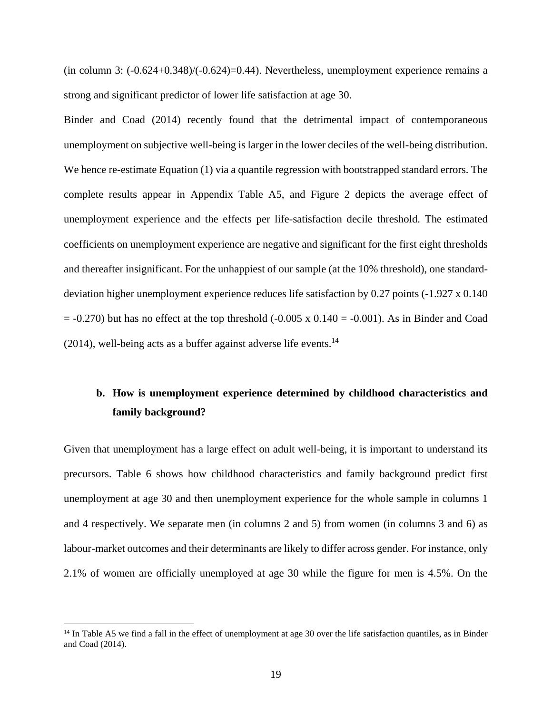(in column 3:  $(-0.624+0.348)/(-0.624)=0.44$ ). Nevertheless, unemployment experience remains a strong and significant predictor of lower life satisfaction at age 30.

Binder and Coad (2014) recently found that the detrimental impact of contemporaneous unemployment on subjective well-being is larger in the lower deciles of the well-being distribution. We hence re-estimate Equation (1) via a quantile regression with bootstrapped standard errors. The complete results appear in Appendix Table A5, and Figure 2 depicts the average effect of unemployment experience and the effects per life-satisfaction decile threshold. The estimated coefficients on unemployment experience are negative and significant for the first eight thresholds and thereafter insignificant. For the unhappiest of our sample (at the 10% threshold), one standarddeviation higher unemployment experience reduces life satisfaction by 0.27 points (-1.927 x 0.140  $= -0.270$ ) but has no effect at the top threshold  $(-0.005 \times 0.140 = -0.001)$ . As in Binder and Coad  $(2014)$ , well-being acts as a buffer against adverse life events.<sup>14</sup>

### **b. How is unemployment experience determined by childhood characteristics and family background?**

Given that unemployment has a large effect on adult well-being, it is important to understand its precursors. Table 6 shows how childhood characteristics and family background predict first unemployment at age 30 and then unemployment experience for the whole sample in columns 1 and 4 respectively. We separate men (in columns 2 and 5) from women (in columns 3 and 6) as labour-market outcomes and their determinants are likely to differ across gender. For instance, only 2.1% of women are officially unemployed at age 30 while the figure for men is 4.5%. On the

 $14$  In Table A5 we find a fall in the effect of unemployment at age 30 over the life satisfaction quantiles, as in Binder and Coad (2014).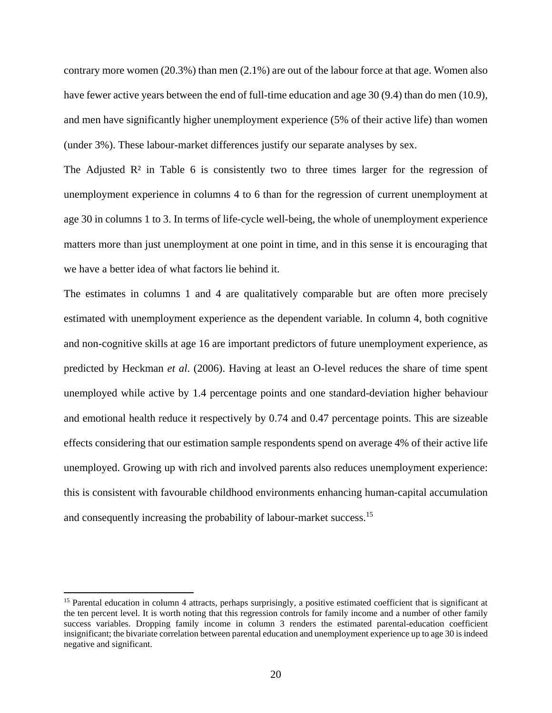contrary more women (20.3%) than men (2.1%) are out of the labour force at that age. Women also have fewer active years between the end of full-time education and age 30 (9.4) than do men (10.9), and men have significantly higher unemployment experience (5% of their active life) than women (under 3%). These labour-market differences justify our separate analyses by sex.

The Adjusted  $\mathbb{R}^2$  in Table 6 is consistently two to three times larger for the regression of unemployment experience in columns 4 to 6 than for the regression of current unemployment at age 30 in columns 1 to 3. In terms of life-cycle well-being, the whole of unemployment experience matters more than just unemployment at one point in time, and in this sense it is encouraging that we have a better idea of what factors lie behind it.

The estimates in columns 1 and 4 are qualitatively comparable but are often more precisely estimated with unemployment experience as the dependent variable. In column 4, both cognitive and non-cognitive skills at age 16 are important predictors of future unemployment experience, as predicted by Heckman *et al*. (2006). Having at least an O-level reduces the share of time spent unemployed while active by 1.4 percentage points and one standard-deviation higher behaviour and emotional health reduce it respectively by 0.74 and 0.47 percentage points. This are sizeable effects considering that our estimation sample respondents spend on average 4% of their active life unemployed. Growing up with rich and involved parents also reduces unemployment experience: this is consistent with favourable childhood environments enhancing human-capital accumulation and consequently increasing the probability of labour-market success.<sup>15</sup>

<sup>&</sup>lt;sup>15</sup> Parental education in column 4 attracts, perhaps surprisingly, a positive estimated coefficient that is significant at the ten percent level. It is worth noting that this regression controls for family income and a number of other family success variables. Dropping family income in column 3 renders the estimated parental-education coefficient insignificant; the bivariate correlation between parental education and unemployment experience up to age 30 is indeed negative and significant.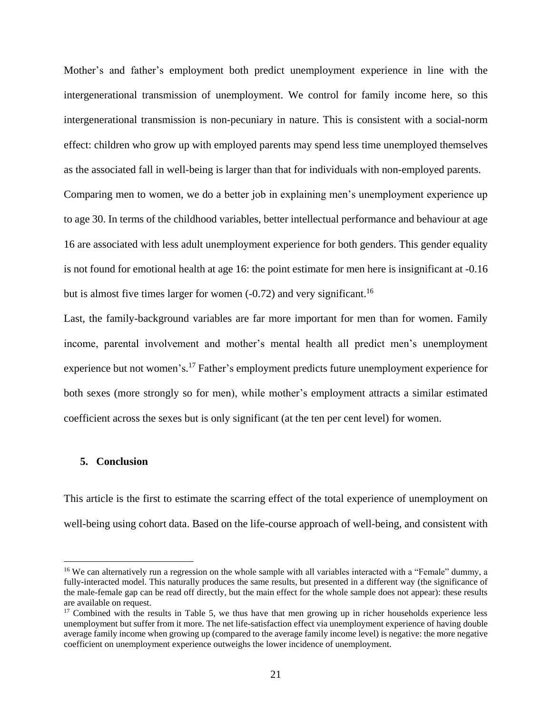Mother's and father's employment both predict unemployment experience in line with the intergenerational transmission of unemployment. We control for family income here, so this intergenerational transmission is non-pecuniary in nature. This is consistent with a social-norm effect: children who grow up with employed parents may spend less time unemployed themselves as the associated fall in well-being is larger than that for individuals with non-employed parents. Comparing men to women, we do a better job in explaining men's unemployment experience up to age 30. In terms of the childhood variables, better intellectual performance and behaviour at age 16 are associated with less adult unemployment experience for both genders. This gender equality is not found for emotional health at age 16: the point estimate for men here is insignificant at -0.16

but is almost five times larger for women  $(-0.72)$  and very significant.<sup>16</sup>

Last, the family-background variables are far more important for men than for women. Family income, parental involvement and mother's mental health all predict men's unemployment experience but not women's.<sup>17</sup> Father's employment predicts future unemployment experience for both sexes (more strongly so for men), while mother's employment attracts a similar estimated coefficient across the sexes but is only significant (at the ten per cent level) for women.

#### **5. Conclusion**

 $\overline{a}$ 

This article is the first to estimate the scarring effect of the total experience of unemployment on well-being using cohort data. Based on the life-course approach of well-being, and consistent with

<sup>&</sup>lt;sup>16</sup> We can alternatively run a regression on the whole sample with all variables interacted with a "Female" dummy, a fully-interacted model. This naturally produces the same results, but presented in a different way (the significance of the male-female gap can be read off directly, but the main effect for the whole sample does not appear): these results are available on request.

<sup>&</sup>lt;sup>17</sup> Combined with the results in Table 5, we thus have that men growing up in richer households experience less unemployment but suffer from it more. The net life-satisfaction effect via unemployment experience of having double average family income when growing up (compared to the average family income level) is negative: the more negative coefficient on unemployment experience outweighs the lower incidence of unemployment.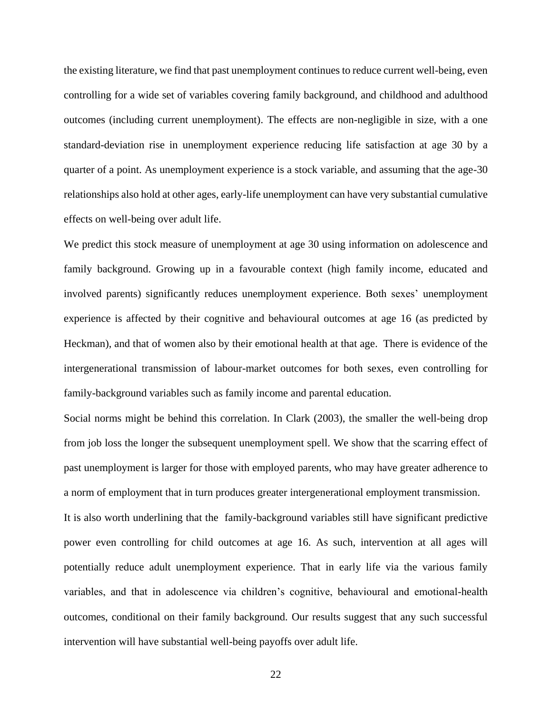the existing literature, we find that past unemployment continues to reduce current well-being, even controlling for a wide set of variables covering family background, and childhood and adulthood outcomes (including current unemployment). The effects are non-negligible in size, with a one standard-deviation rise in unemployment experience reducing life satisfaction at age 30 by a quarter of a point. As unemployment experience is a stock variable, and assuming that the age-30 relationships also hold at other ages, early-life unemployment can have very substantial cumulative effects on well-being over adult life.

We predict this stock measure of unemployment at age 30 using information on adolescence and family background. Growing up in a favourable context (high family income, educated and involved parents) significantly reduces unemployment experience. Both sexes' unemployment experience is affected by their cognitive and behavioural outcomes at age 16 (as predicted by Heckman), and that of women also by their emotional health at that age. There is evidence of the intergenerational transmission of labour-market outcomes for both sexes, even controlling for family-background variables such as family income and parental education.

Social norms might be behind this correlation. In Clark (2003), the smaller the well-being drop from job loss the longer the subsequent unemployment spell. We show that the scarring effect of past unemployment is larger for those with employed parents, who may have greater adherence to a norm of employment that in turn produces greater intergenerational employment transmission.

It is also worth underlining that the family-background variables still have significant predictive power even controlling for child outcomes at age 16. As such, intervention at all ages will potentially reduce adult unemployment experience. That in early life via the various family variables, and that in adolescence via children's cognitive, behavioural and emotional-health outcomes, conditional on their family background. Our results suggest that any such successful intervention will have substantial well-being payoffs over adult life.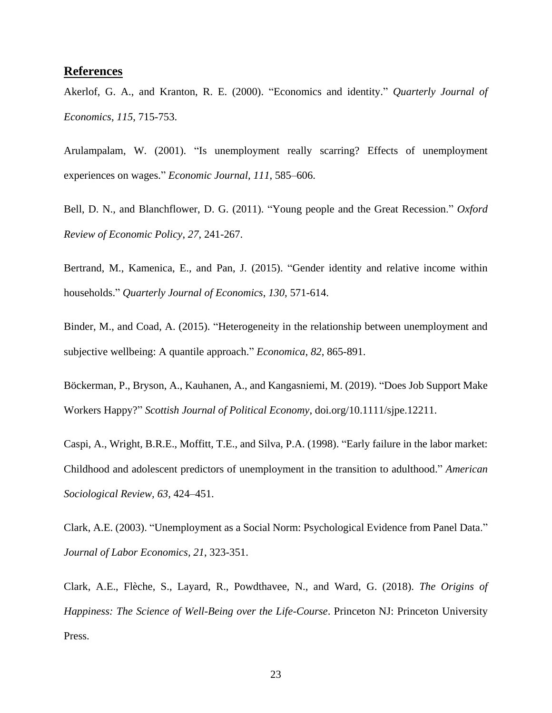#### **References**

Akerlof, G. A., and Kranton, R. E. (2000). "Economics and identity." *Quarterly Journal of Economics*, *115*, 715-753.

Arulampalam, W. (2001). "Is unemployment really scarring? Effects of unemployment experiences on wages." *Economic Journal, 111*, 585–606.

Bell, D. N., and Blanchflower, D. G. (2011). "Young people and the Great Recession." *Oxford Review of Economic Policy*, *27*, 241-267.

Bertrand, M., Kamenica, E., and Pan, J. (2015). "Gender identity and relative income within households." *Quarterly Journal of Economics*, *130*, 571-614.

Binder, M., and Coad, A. (2015). "Heterogeneity in the relationship between unemployment and subjective wellbeing: A quantile approach." *Economica*, *82*, 865-891.

Böckerman, P., Bryson, A., Kauhanen, A., and Kangasniemi, M. (2019). "Does Job Support Make Workers Happy?" *Scottish Journal of Political Economy*, doi.org/10.1111/sjpe.12211.

Caspi, A., Wright, B.R.E., Moffitt, T.E., and Silva, P.A. (1998). "Early failure in the labor market: Childhood and adolescent predictors of unemployment in the transition to adulthood." *American Sociological Review, 63,* 424–451.

Clark, A.E. (2003). "Unemployment as a Social Norm: Psychological Evidence from Panel Data." *Journal of Labor Economics, 21*, 323-351.

Clark, A.E., Flèche, S., Layard, R., Powdthavee, N., and Ward, G. (2018). *The Origins of Happiness: The Science of Well-Being over the Life-Course*. Princeton NJ: Princeton University Press.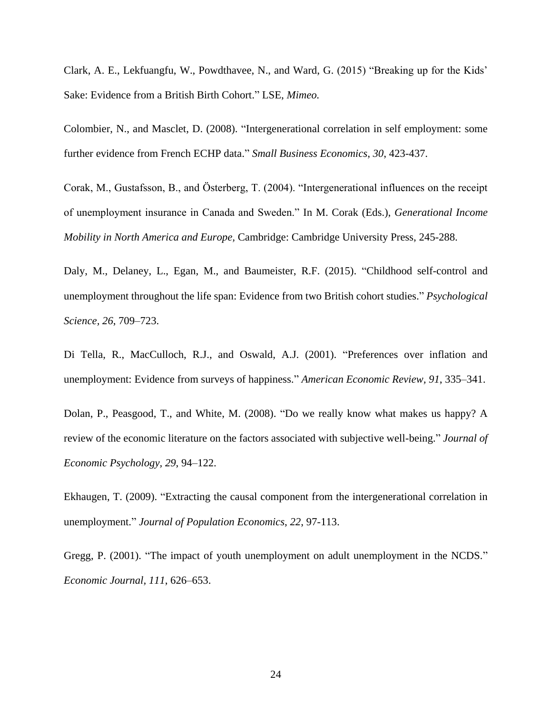Clark, A. E., Lekfuangfu, W., Powdthavee, N., and Ward, G. (2015) "Breaking up for the Kids' Sake: Evidence from a British Birth Cohort." LSE, *Mimeo.*

Colombier, N., and Masclet, D. (2008). "Intergenerational correlation in self employment: some further evidence from French ECHP data." *Small Business Economics*, *30*, 423-437.

Corak, M., Gustafsson, B., and Österberg, T. (2004). "Intergenerational influences on the receipt of unemployment insurance in Canada and Sweden." In M. Corak (Eds.), *Generational Income Mobility in North America and Europe,* Cambridge: Cambridge University Press, 245-288.

Daly, M., Delaney, L., Egan, M., and Baumeister, R.F. (2015). "Childhood self-control and unemployment throughout the life span: Evidence from two British cohort studies." *Psychological Science, 26*, 709–723.

Di Tella, R., MacCulloch, R.J., and Oswald, A.J. (2001). "Preferences over inflation and unemployment: Evidence from surveys of happiness." *American Economic Review, 91*, 335–341.

Dolan, P., Peasgood, T., and White, M. (2008). "Do we really know what makes us happy? A review of the economic literature on the factors associated with subjective well-being." *Journal of Economic Psychology, 29*, 94–122.

Ekhaugen, T. (2009). "Extracting the causal component from the intergenerational correlation in unemployment." *Journal of Population Economics*, *22*, 97-113.

Gregg, P. (2001). "The impact of youth unemployment on adult unemployment in the NCDS." *Economic Journal, 111*, 626–653.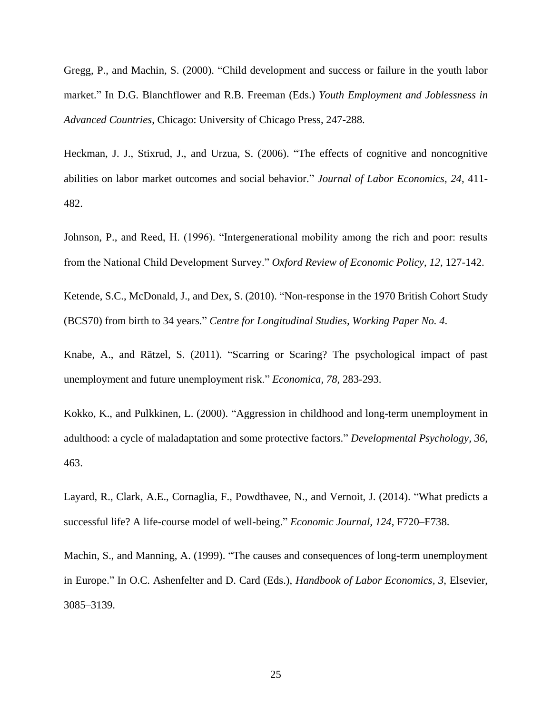Gregg, P., and Machin, S. (2000). "Child development and success or failure in the youth labor market." In D.G. Blanchflower and R.B. Freeman (Eds.) *Youth Employment and Joblessness in Advanced Countries*, Chicago: University of Chicago Press, 247-288.

Heckman, J. J., Stixrud, J., and Urzua, S. (2006). "The effects of cognitive and noncognitive abilities on labor market outcomes and social behavior." *Journal of Labor Economics*, *24*, 411- 482.

Johnson, P., and Reed, H. (1996). "Intergenerational mobility among the rich and poor: results from the National Child Development Survey." *Oxford Review of Economic Policy*, *12*, 127-142.

Ketende, S.C., McDonald, J., and Dex, S. (2010). "Non-response in the 1970 British Cohort Study (BCS70) from birth to 34 years." *Centre for Longitudinal Studies, Working Paper No. 4*.

Knabe, A., and Rätzel, S. (2011). "Scarring or Scaring? The psychological impact of past unemployment and future unemployment risk." *Economica, 78*, 283-293.

Kokko, K., and Pulkkinen, L. (2000). "Aggression in childhood and long-term unemployment in adulthood: a cycle of maladaptation and some protective factors." *Developmental Psychology, 36*, 463.

Layard, R., Clark, A.E., Cornaglia, F., Powdthavee, N., and Vernoit, J. (2014). "What predicts a successful life? A life-course model of well-being." *Economic Journal, 124*, F720–F738.

Machin, S., and Manning, A. (1999). "The causes and consequences of long-term unemployment in Europe." In O.C. Ashenfelter and D. Card (Eds.), *Handbook of Labor Economics, 3*, Elsevier, 3085–3139.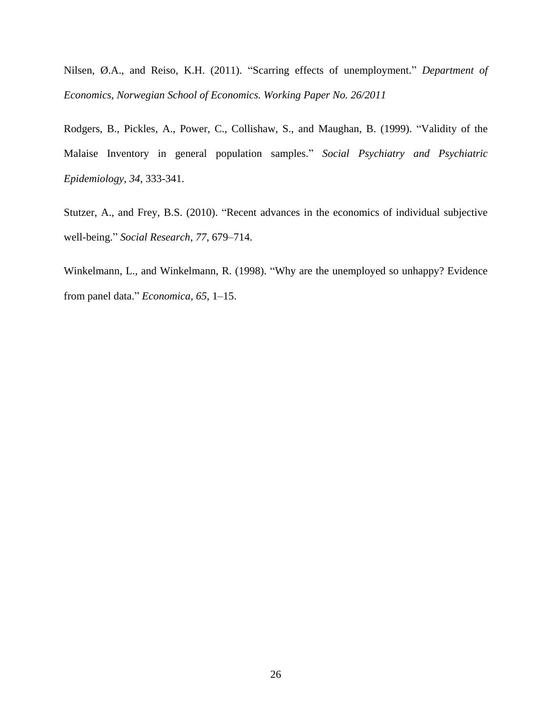Nilsen, Ø.A., and Reiso, K.H. (2011). "Scarring effects of unemployment." *Department of Economics, Norwegian School of Economics. Working Paper No. 26/2011*

Rodgers, B., Pickles, A., Power, C., Collishaw, S., and Maughan, B. (1999). "Validity of the Malaise Inventory in general population samples." *Social Psychiatry and Psychiatric Epidemiology*, *34*, 333-341.

Stutzer, A., and Frey, B.S. (2010). "Recent advances in the economics of individual subjective well-being." *Social Research, 77*, 679–714.

Winkelmann, L., and Winkelmann, R. (1998). "Why are the unemployed so unhappy? Evidence from panel data." *Economica, 65*, 1–15.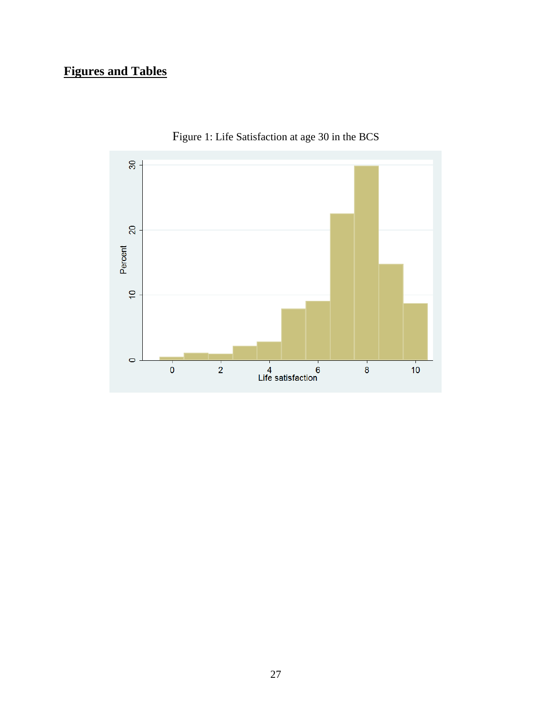# **Figures and Tables**



Figure 1: Life Satisfaction at age 30 in the BCS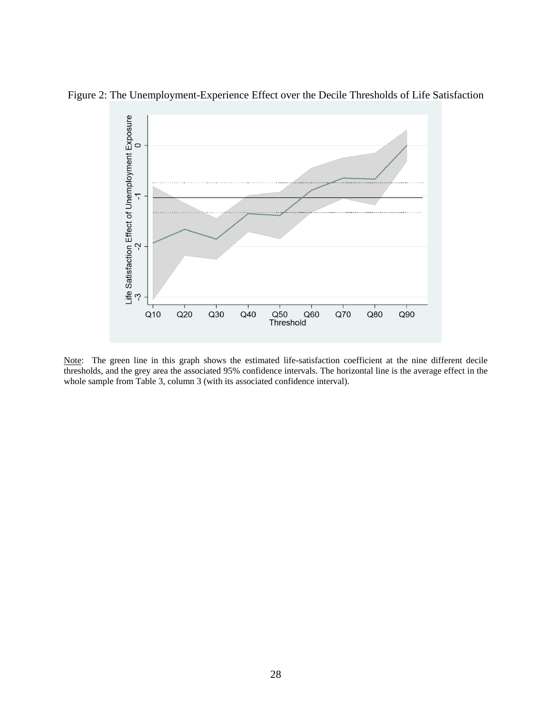

Figure 2: The Unemployment-Experience Effect over the Decile Thresholds of Life Satisfaction

Note: The green line in this graph shows the estimated life-satisfaction coefficient at the nine different decile thresholds, and the grey area the associated 95% confidence intervals. The horizontal line is the average effect in the whole sample from Table 3, column 3 (with its associated confidence interval).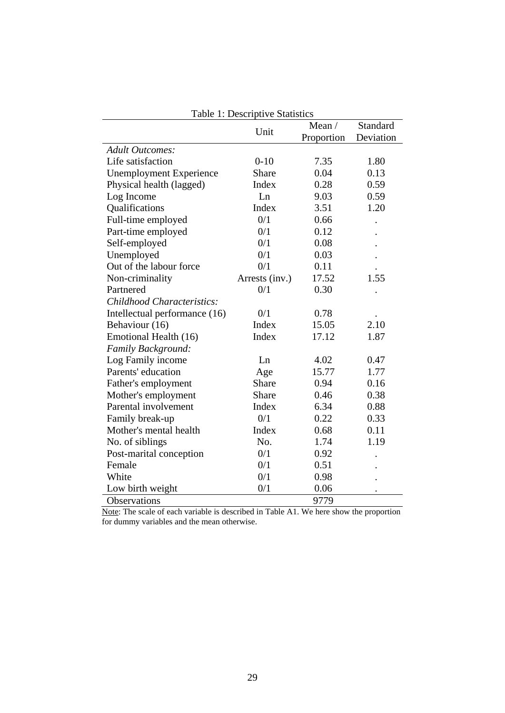|                                | Unit           | Mean/      | Standard  |
|--------------------------------|----------------|------------|-----------|
|                                |                | Proportion | Deviation |
| <b>Adult Outcomes:</b>         |                |            |           |
| Life satisfaction              | $0 - 10$       | 7.35       | 1.80      |
| <b>Unemployment Experience</b> | Share          | 0.04       | 0.13      |
| Physical health (lagged)       | Index          | 0.28       | 0.59      |
| Log Income                     | Ln             | 9.03       | 0.59      |
| Qualifications                 | Index          | 3.51       | 1.20      |
| Full-time employed             | 0/1            | 0.66       |           |
| Part-time employed             | 0/1            | 0.12       |           |
| Self-employed                  | 0/1            | 0.08       |           |
| Unemployed                     | 0/1            | 0.03       |           |
| Out of the labour force        | 0/1            | 0.11       |           |
| Non-criminality                | Arrests (inv.) | 17.52      | 1.55      |
| Partnered                      | 0/1            | 0.30       |           |
| Childhood Characteristics:     |                |            |           |
| Intellectual performance (16)  | 0/1            | 0.78       |           |
| Behaviour (16)                 | Index          | 15.05      | 2.10      |
| Emotional Health (16)          | Index          | 17.12      | 1.87      |
| Family Background:             |                |            |           |
| Log Family income              | Ln             | 4.02       | 0.47      |
| Parents' education             | Age            | 15.77      | 1.77      |
| Father's employment            | <b>Share</b>   | 0.94       | 0.16      |
| Mother's employment            | Share          | 0.46       | 0.38      |
| Parental involvement           | Index          | 6.34       | 0.88      |
| Family break-up                | 0/1            | 0.22       | 0.33      |
| Mother's mental health         | Index          | 0.68       | 0.11      |
| No. of siblings                | No.            | 1.74       | 1.19      |
| Post-marital conception        | 0/1            | 0.92       |           |
| Female                         | 0/1            | 0.51       |           |
| White                          | 0/1            | 0.98       |           |
| Low birth weight               | 0/1            | 0.06       |           |
| Observations                   |                | 9779       |           |

Table 1: Descriptive Statistics

Note: The scale of each variable is described in Table A1. We here show the proportion for dummy variables and the mean otherwise.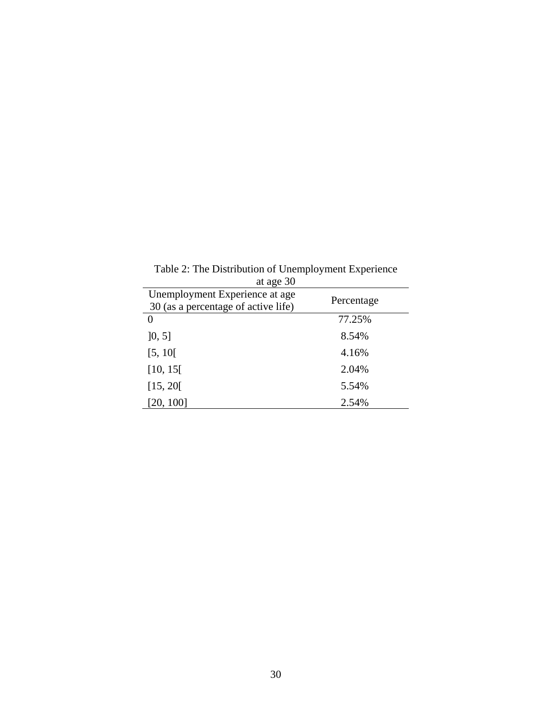Table 2: The Distribution of Unemployment Experience

| at age 30                                                             |            |
|-----------------------------------------------------------------------|------------|
| Unemployment Experience at age<br>30 (as a percentage of active life) | Percentage |
| 0                                                                     | 77.25%     |
| [0, 5]                                                                | 8.54%      |
| [5, 10]                                                               | 4.16%      |
| [10, 15]                                                              | 2.04%      |
| [15, 20]                                                              | 5.54%      |
| [20, 100]                                                             | 2.54%      |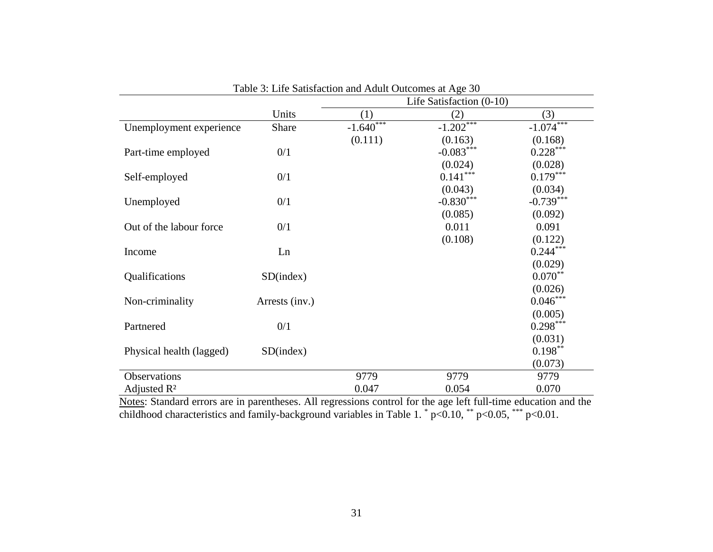|                          |                |             | Life Satisfaction (0-10) |             |
|--------------------------|----------------|-------------|--------------------------|-------------|
|                          | Units          | (1)         | (2)                      | (3)         |
| Unemployment experience  | Share          | $-1.640***$ | $-1.202***$              | $-1.074***$ |
|                          |                | (0.111)     | (0.163)                  | (0.168)     |
| Part-time employed       | 0/1            |             | $-0.083***$              | $0.228***$  |
|                          |                |             | (0.024)                  | (0.028)     |
| Self-employed            | 0/1            |             | $0.141***$               | $0.179***$  |
|                          |                |             | (0.043)                  | (0.034)     |
| Unemployed               | 0/1            |             | $-0.830***$              | $-0.739***$ |
|                          |                |             | (0.085)                  | (0.092)     |
| Out of the labour force  | 0/1            |             | 0.011                    | 0.091       |
|                          |                |             | (0.108)                  | (0.122)     |
| Income                   | Ln             |             |                          | $0.244***$  |
|                          |                |             |                          | (0.029)     |
| Qualifications           | SD(index)      |             |                          | $0.070**$   |
|                          |                |             |                          | (0.026)     |
| Non-criminality          | Arrests (inv.) |             |                          | $0.046***$  |
|                          |                |             |                          | (0.005)     |
| Partnered                | 0/1            |             |                          | $0.298***$  |
|                          |                |             |                          | (0.031)     |
| Physical health (lagged) | SD(index)      |             |                          | $0.198***$  |
|                          |                |             |                          | (0.073)     |
| Observations             |                | 9779        | 9779                     | 9779        |
| Adjusted $R^2$           |                | 0.047       | 0.054                    | 0.070       |

| Table 3: Life Satisfaction and Adult Outcomes at Age 30 |  |
|---------------------------------------------------------|--|
|---------------------------------------------------------|--|

Notes: Standard errors are in parentheses. All regressions control for the age left full-time education and the childhood characteristics and family-background variables in Table 1.  $*$  p<0.10,  $**$  p<0.05,  $***$  p<0.01.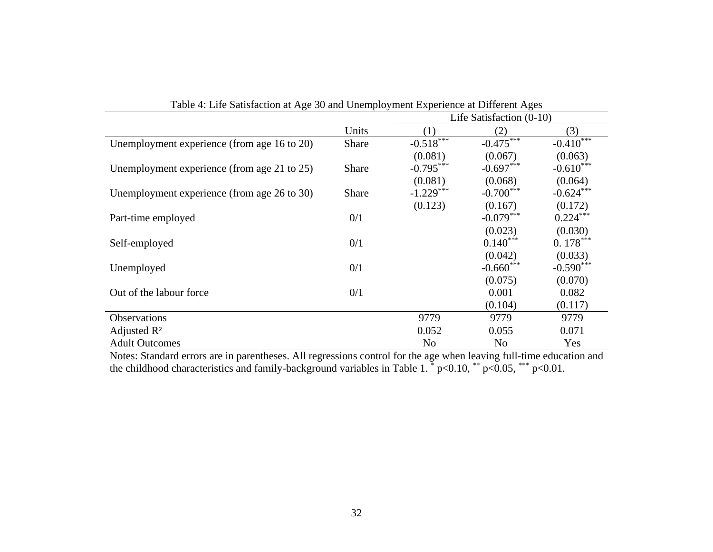| Tuble 1. Enc batisfaction at 150 50 and Chemplo emotion Experience at Different 150s |              | Life Satisfaction $(0-10)$ |                |                          |  |
|--------------------------------------------------------------------------------------|--------------|----------------------------|----------------|--------------------------|--|
|                                                                                      | Units        | (1)                        | (2)            | (3)                      |  |
| Unemployment experience (from age 16 to 20)                                          | Share        | $-0.518$                   | $-0.475***$    | $-0.410$ <sup>****</sup> |  |
|                                                                                      |              | (0.081)                    | (0.067)        | (0.063)                  |  |
| Unemployment experience (from age 21 to 25)                                          | Share        | $-0.795***$                | $-0.697***$    | $-0.610***$              |  |
|                                                                                      |              | (0.081)                    | (0.068)        | (0.064)                  |  |
| Unemployment experience (from age 26 to 30)                                          | <b>Share</b> | $-1.229***$                | $-0.700***$    | $-0.624***$              |  |
|                                                                                      |              | (0.123)                    | (0.167)        | (0.172)                  |  |
| Part-time employed                                                                   | 0/1          |                            | $-0.079***$    | $0.224***$               |  |
|                                                                                      |              |                            | (0.023)        | (0.030)                  |  |
| Self-employed                                                                        | 0/1          |                            | $0.140***$     | $0.178***$               |  |
|                                                                                      |              |                            | (0.042)        | (0.033)                  |  |
| Unemployed                                                                           | 0/1          |                            | $-0.660***$    | $-0.590***$              |  |
|                                                                                      |              |                            | (0.075)        | (0.070)                  |  |
| Out of the labour force                                                              | 0/1          |                            | 0.001          | 0.082                    |  |
|                                                                                      |              |                            | (0.104)        | (0.117)                  |  |
| <b>Observations</b>                                                                  |              | 9779                       | 9779           | 9779                     |  |
| Adjusted $\mathbb{R}^2$                                                              |              | 0.052                      | 0.055          | 0.071                    |  |
| <b>Adult Outcomes</b>                                                                |              | N <sub>o</sub>             | N <sub>0</sub> | Yes                      |  |

| Table 4: Life Satisfaction at Age 30 and Unemployment Experience at Different Ages |  |  |
|------------------------------------------------------------------------------------|--|--|
|                                                                                    |  |  |

Notes: Standard errors are in parentheses. All regressions control for the age when leaving full-time education and the childhood characteristics and family-background variables in Table 1.  $*$  p<0.10,  $**$  p<0.05,  $***$  p<0.01.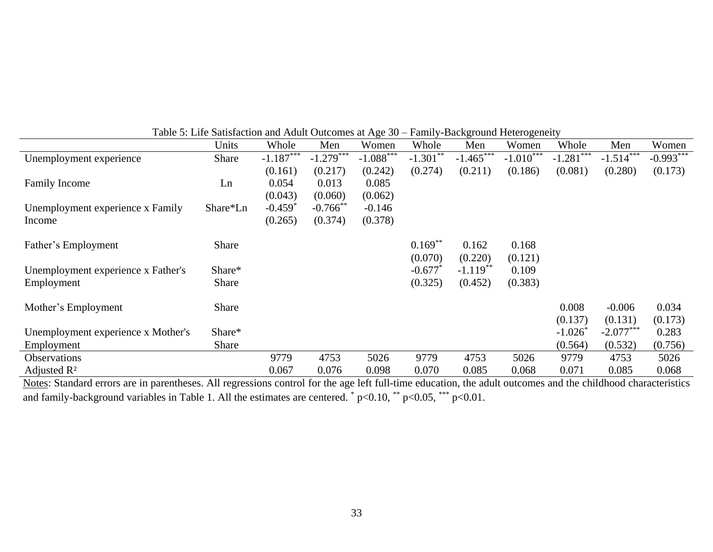|                                    | Units    | Whole                 | Men         | Women       | Whole                 | Men         | Women       | Whole        | Men         | Women       |
|------------------------------------|----------|-----------------------|-------------|-------------|-----------------------|-------------|-------------|--------------|-------------|-------------|
| Unemployment experience            | Share    | $-1.187$              | $-1.279***$ | $-1.088***$ | $-1.301***$           | $-1.465***$ | $-1.010***$ | $-1.281$ *** | $-1.514$    | $-0.993***$ |
|                                    |          | (0.161)               | (0.217)     | (0.242)     | (0.274)               | (0.211)     | (0.186)     | (0.081)      | (0.280)     | (0.173)     |
| <b>Family Income</b>               | Ln       | 0.054                 | 0.013       | 0.085       |                       |             |             |              |             |             |
|                                    |          | (0.043)               | (0.060)     | (0.062)     |                       |             |             |              |             |             |
| Unemployment experience x Family   | Share*Ln | $-0.459$ <sup>*</sup> | $-0.766$ ** | $-0.146$    |                       |             |             |              |             |             |
| Income                             |          | (0.265)               | (0.374)     | (0.378)     |                       |             |             |              |             |             |
|                                    |          |                       |             |             |                       |             |             |              |             |             |
| Father's Employment                | Share    |                       |             |             | $0.169***$            | 0.162       | 0.168       |              |             |             |
|                                    |          |                       |             |             | (0.070)               | (0.220)     | (0.121)     |              |             |             |
| Unemployment experience x Father's | Share*   |                       |             |             | $-0.677$ <sup>*</sup> | $-1.119**$  | 0.109       |              |             |             |
| Employment                         | Share    |                       |             |             | (0.325)               | (0.452)     | (0.383)     |              |             |             |
|                                    |          |                       |             |             |                       |             |             |              |             |             |
| Mother's Employment                | Share    |                       |             |             |                       |             |             | 0.008        | $-0.006$    | 0.034       |
|                                    |          |                       |             |             |                       |             |             | (0.137)      | (0.131)     | (0.173)     |
| Unemployment experience x Mother's | Share*   |                       |             |             |                       |             |             | $-1.026*$    | $-2.077***$ | 0.283       |
| Employment                         | Share    |                       |             |             |                       |             |             | (0.564)      | (0.532)     | (0.756)     |
| <b>Observations</b>                |          | 9779                  | 4753        | 5026        | 9779                  | 4753        | 5026        | 9779         | 4753        | 5026        |
| Adjusted $\mathbb{R}^2$            |          | 0.067                 | 0.076       | 0.098       | 0.070                 | 0.085       | 0.068       | 0.071        | 0.085       | 0.068       |

Table 5: Life Satisfaction and Adult Outcomes at Age 30 – Family-Background Heterogeneity

Notes: Standard errors are in parentheses. All regressions control for the age left full-time education, the adult outcomes and the childhood characteristics and family-background variables in Table 1. All the estimates are centered.  $*$  p<0.10,  $*$  p<0.05,  $***$  p<0.01.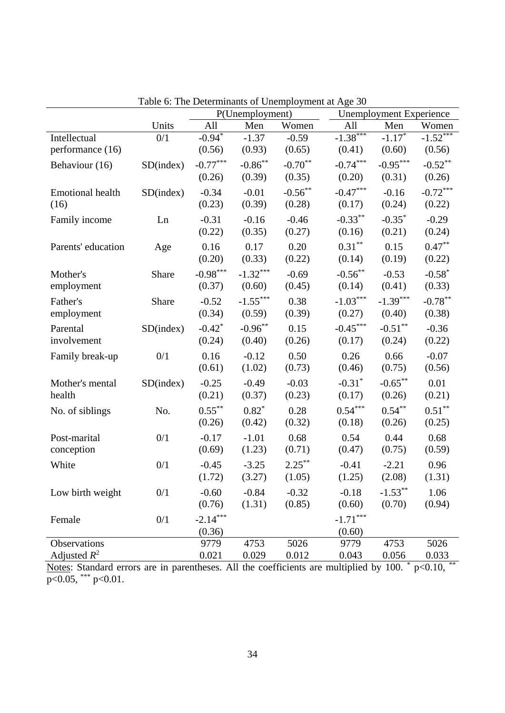|                         |           | Lable 0. The Determinants of Unemployment at Age 50<br>P(Unemployment) |            |            |                      | <b>Unemployment Experience</b> |            |  |
|-------------------------|-----------|------------------------------------------------------------------------|------------|------------|----------------------|--------------------------------|------------|--|
|                         | Units     | All                                                                    | Men        | Women      | All                  | Men                            | Women      |  |
| Intellectual            | 0/1       | $-0.94*$                                                               | $-1.37$    | $-0.59$    | $-1.38***$           | $-1.17*$                       | $-1.52***$ |  |
| performance (16)        |           | (0.56)                                                                 | (0.93)     | (0.65)     | (0.41)               | (0.60)                         | (0.56)     |  |
| Behaviour (16)          | SD(index) | $-0.77***$                                                             | $-0.86$ ** | $-0.70**$  | $-0.74***$           | $-0.95***$                     | $-0.52***$ |  |
|                         |           | (0.26)                                                                 | (0.39)     | (0.35)     | (0.20)               | (0.31)                         | (0.26)     |  |
| <b>Emotional health</b> | SD(index) | $-0.34$                                                                | $-0.01$    | $-0.56***$ | $-0.47***$           | $-0.16$                        | $-0.72***$ |  |
| (16)                    |           | (0.23)                                                                 | (0.39)     | (0.28)     | (0.17)               | (0.24)                         | (0.22)     |  |
| Family income           | Ln        | $-0.31$                                                                | $-0.16$    | $-0.46$    | $-0.33***$           | $-0.35*$                       | $-0.29$    |  |
|                         |           | (0.22)                                                                 | (0.35)     | (0.27)     | (0.16)               | (0.21)                         | (0.24)     |  |
| Parents' education      | Age       | 0.16                                                                   | 0.17       | 0.20       | $0.31***$            | 0.15                           | $0.47***$  |  |
|                         |           | (0.20)                                                                 | (0.33)     | (0.22)     | (0.14)               | (0.19)                         | (0.22)     |  |
| Mother's                | Share     | $-0.98***$                                                             | $-1.32***$ | $-0.69$    | $-0.56***$           | $-0.53$                        | $-0.58*$   |  |
| employment              |           | (0.37)                                                                 | (0.60)     | (0.45)     | (0.14)               | (0.41)                         | (0.33)     |  |
| Father's                | Share     | $-0.52$                                                                | $-1.55***$ | 0.38       | $-1.03***$           | $-1.39***$                     | $-0.78***$ |  |
| employment              |           | (0.34)                                                                 | (0.59)     | (0.39)     | (0.27)               | (0.40)                         | (0.38)     |  |
| Parental                | SD(index) | $-0.42$ <sup>*</sup>                                                   | $-0.96***$ | 0.15       | $-0.45***$           | $-0.51***$                     | $-0.36$    |  |
| involvement             |           | (0.24)                                                                 | (0.40)     | (0.26)     | (0.17)               | (0.24)                         | (0.22)     |  |
| Family break-up         | 0/1       | 0.16                                                                   | $-0.12$    | 0.50       | 0.26                 | 0.66                           | $-0.07$    |  |
|                         |           | (0.61)                                                                 | (1.02)     | (0.73)     | (0.46)               | (0.75)                         | (0.56)     |  |
| Mother's mental         | SD(index) | $-0.25$                                                                | $-0.49$    | $-0.03$    | $-0.31$ <sup>*</sup> | $-0.65***$                     | 0.01       |  |
| health                  |           | (0.21)                                                                 | (0.37)     | (0.23)     | (0.17)               | (0.26)                         | (0.21)     |  |
| No. of siblings         | No.       | $0.55***$                                                              | $0.82*$    | 0.28       | $0.54***$            | $0.54***$                      | $0.51***$  |  |
|                         |           | (0.26)                                                                 | (0.42)     | (0.32)     | (0.18)               | (0.26)                         | (0.25)     |  |
| Post-marital            | 0/1       | $-0.17$                                                                | $-1.01$    | 0.68       | 0.54                 | 0.44                           | 0.68       |  |
| conception              |           | (0.69)                                                                 | (1.23)     | (0.71)     | (0.47)               | (0.75)                         | (0.59)     |  |
| White                   | 0/1       | $-0.45$                                                                | $-3.25$    | $2.25***$  | $-0.41$              | $-2.21$                        | 0.96       |  |
|                         |           | (1.72)                                                                 | (3.27)     | (1.05)     | (1.25)               | (2.08)                         | (1.31)     |  |
| Low birth weight        | 0/1       | $-0.60$                                                                | $-0.84$    | $-0.32$    | $-0.18$              | $-1.53***$                     | 1.06       |  |
|                         |           | (0.76)                                                                 | (1.31)     | (0.85)     | (0.60)               | (0.70)                         | (0.94)     |  |
| Female                  | 0/1       | $-2.14***$                                                             |            |            | $-1.71***$           |                                |            |  |
|                         |           | (0.36)                                                                 |            |            | (0.60)               |                                |            |  |
| Observations            |           | 9779                                                                   | 4753       | 5026       | 9779                 | 4753                           | 5026       |  |
| Adjusted $R^2$          |           | 0.021                                                                  | 0.029      | 0.012      | 0.043                | 0.056                          | 0.033      |  |

Table 6: The Determinants of Unemployment at Age 30

Notes: Standard errors are in parentheses. All the coefficients are multiplied by 100.  $*$  p<0.10,  $*$  $p<0.05$ , \*\*\*  $p<0.01$ .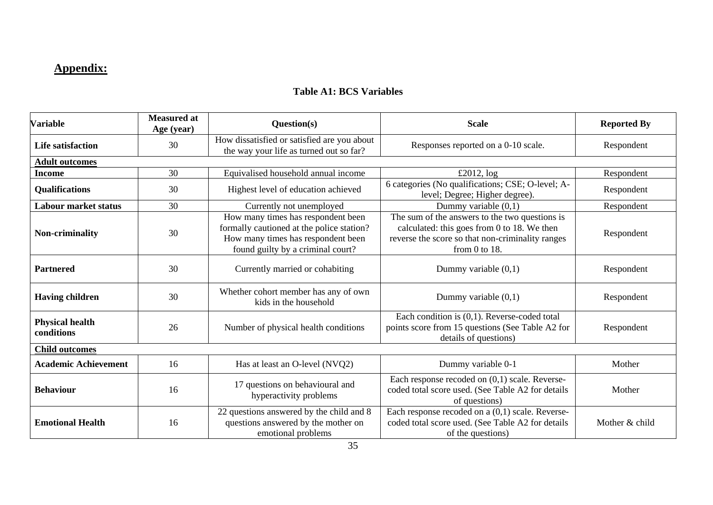## **Appendix:**

### **Table A1: BCS Variables**

| <b>Variable</b>                      | <b>Measured at</b><br>Age (year) | Question(s)                                                                                                                                                | <b>Scale</b>                                                                                                                                                            | <b>Reported By</b> |
|--------------------------------------|----------------------------------|------------------------------------------------------------------------------------------------------------------------------------------------------------|-------------------------------------------------------------------------------------------------------------------------------------------------------------------------|--------------------|
| <b>Life satisfaction</b>             | 30                               | How dissatisfied or satisfied are you about<br>the way your life as turned out so far?                                                                     | Responses reported on a 0-10 scale.                                                                                                                                     | Respondent         |
| <b>Adult outcomes</b>                |                                  |                                                                                                                                                            |                                                                                                                                                                         |                    |
| <b>Income</b>                        | 30                               | Equivalised household annual income                                                                                                                        | £2012, $log$                                                                                                                                                            | Respondent         |
| <b>Qualifications</b>                | 30                               | Highest level of education achieved                                                                                                                        | 6 categories (No qualifications; CSE; O-level; A-<br>level; Degree; Higher degree).                                                                                     | Respondent         |
| <b>Labour market status</b>          | 30                               | Currently not unemployed                                                                                                                                   | Dummy variable $(0,1)$                                                                                                                                                  | Respondent         |
| Non-criminality                      | 30                               | How many times has respondent been<br>formally cautioned at the police station?<br>How many times has respondent been<br>found guilty by a criminal court? | The sum of the answers to the two questions is<br>calculated: this goes from 0 to 18. We then<br>reverse the score so that non-criminality ranges<br>from $0$ to $18$ . | Respondent         |
| <b>Partnered</b>                     | 30                               | Currently married or cohabiting                                                                                                                            | Dummy variable $(0,1)$                                                                                                                                                  | Respondent         |
| <b>Having children</b>               | 30                               | Whether cohort member has any of own<br>kids in the household                                                                                              | Dummy variable $(0,1)$                                                                                                                                                  | Respondent         |
| <b>Physical health</b><br>conditions | 26                               | Number of physical health conditions                                                                                                                       | Each condition is $(0,1)$ . Reverse-coded total<br>points score from 15 questions (See Table A2 for<br>details of questions)                                            | Respondent         |
| <b>Child outcomes</b>                |                                  |                                                                                                                                                            |                                                                                                                                                                         |                    |
| <b>Academic Achievement</b>          | 16                               | Has at least an O-level (NVQ2)                                                                                                                             | Dummy variable 0-1                                                                                                                                                      | Mother             |
| <b>Behaviour</b>                     | 16                               | 17 questions on behavioural and<br>hyperactivity problems                                                                                                  | Each response recoded on $(0,1)$ scale. Reverse-<br>coded total score used. (See Table A2 for details<br>of questions)                                                  | Mother             |
| <b>Emotional Health</b>              | 16                               | 22 questions answered by the child and 8<br>questions answered by the mother on<br>emotional problems                                                      | Each response recoded on $a(0,1)$ scale. Reverse-<br>coded total score used. (See Table A2 for details<br>of the questions)                                             | Mother & child     |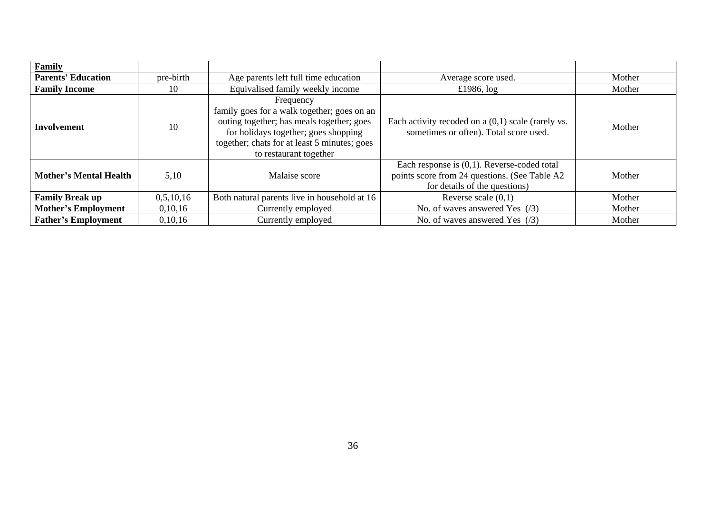| Family                        |           |                                                                                                                                                                                                                         |                                                                                                                                  |        |
|-------------------------------|-----------|-------------------------------------------------------------------------------------------------------------------------------------------------------------------------------------------------------------------------|----------------------------------------------------------------------------------------------------------------------------------|--------|
| <b>Parents' Education</b>     | pre-birth | Age parents left full time education<br>Average score used.                                                                                                                                                             |                                                                                                                                  | Mother |
| <b>Family Income</b>          | 10        | Equivalised family weekly income                                                                                                                                                                                        | £1986, $log$                                                                                                                     | Mother |
| <b>Involvement</b>            | 10        | Frequency<br>family goes for a walk together; goes on an<br>outing together; has meals together; goes<br>for holidays together; goes shopping<br>together; chats for at least 5 minutes; goes<br>to restaurant together | Each activity recoded on $a(0,1)$ scale (rarely vs.<br>sometimes or often). Total score used.                                    | Mother |
| <b>Mother's Mental Health</b> | 5,10      | Malaise score                                                                                                                                                                                                           | Each response is $(0,1)$ . Reverse-coded total<br>points score from 24 questions. (See Table A2<br>for details of the questions) | Mother |
| <b>Family Break up</b>        | 0,5,10,16 | Both natural parents live in household at 16                                                                                                                                                                            | Reverse scale $(0,1)$                                                                                                            | Mother |
| <b>Mother's Employment</b>    | 0,10,16   | Currently employed                                                                                                                                                                                                      | No. of waves answered Yes $(73)$                                                                                                 | Mother |
| <b>Father's Employment</b>    | 0,10,16   | Currently employed                                                                                                                                                                                                      | No. of waves answered Yes $(7)$                                                                                                  | Mother |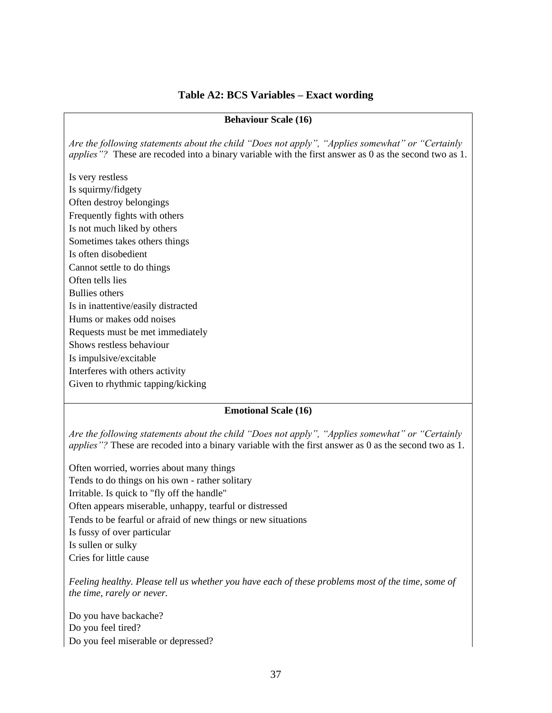#### **Table A2: BCS Variables – Exact wording**

#### **Behaviour Scale (16)**

*Are the following statements about the child "Does not apply", "Applies somewhat" or "Certainly applies"?* These are recoded into a binary variable with the first answer as 0 as the second two as 1.

Is very restless Is squirmy/fidgety Often destroy belongings Frequently fights with others Is not much liked by others Sometimes takes others things Is often disobedient Cannot settle to do things Often tells lies Bullies others Is in inattentive/easily distracted Hums or makes odd noises Requests must be met immediately Shows restless behaviour Is impulsive/excitable Interferes with others activity Given to rhythmic tapping/kicking

#### **Emotional Scale (16)**

*Are the following statements about the child "Does not apply", "Applies somewhat" or "Certainly applies*"? These are recoded into a binary variable with the first answer as 0 as the second two as 1.

Often worried, worries about many things Tends to do things on his own - rather solitary Irritable. Is quick to "fly off the handle" Often appears miserable, unhappy, tearful or distressed Tends to be fearful or afraid of new things or new situations Is fussy of over particular Is sullen or sulky Cries for little cause

*Feeling healthy. Please tell us whether you have each of these problems most of the time, some of the time, rarely or never.* 

Do you have backache? Do you feel tired? Do you feel miserable or depressed?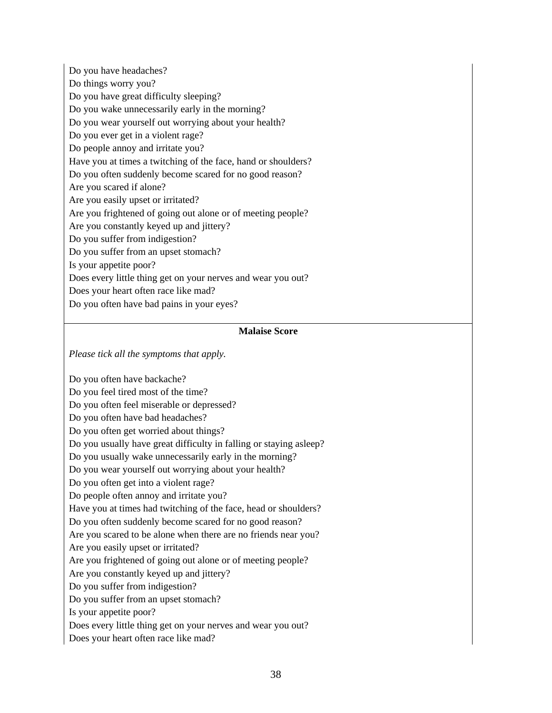Do you have headaches? Do things worry you? Do you have great difficulty sleeping? Do you wake unnecessarily early in the morning? Do you wear yourself out worrying about your health? Do you ever get in a violent rage? Do people annoy and irritate you? Have you at times a twitching of the face, hand or shoulders? Do you often suddenly become scared for no good reason? Are you scared if alone? Are you easily upset or irritated? Are you frightened of going out alone or of meeting people? Are you constantly keyed up and jittery? Do you suffer from indigestion? Do you suffer from an upset stomach? Is your appetite poor? Does every little thing get on your nerves and wear you out? Does your heart often race like mad? Do you often have bad pains in your eyes?

#### **Malaise Score**

*Please tick all the symptoms that apply.* 

Do you often have backache? Do you feel tired most of the time? Do you often feel miserable or depressed? Do you often have bad headaches? Do you often get worried about things? Do you usually have great difficulty in falling or staying asleep? Do you usually wake unnecessarily early in the morning? Do you wear yourself out worrying about your health? Do you often get into a violent rage? Do people often annoy and irritate you? Have you at times had twitching of the face, head or shoulders? Do you often suddenly become scared for no good reason? Are you scared to be alone when there are no friends near you? Are you easily upset or irritated? Are you frightened of going out alone or of meeting people? Are you constantly keyed up and jittery? Do you suffer from indigestion? Do you suffer from an upset stomach? Is your appetite poor? Does every little thing get on your nerves and wear you out? Does your heart often race like mad?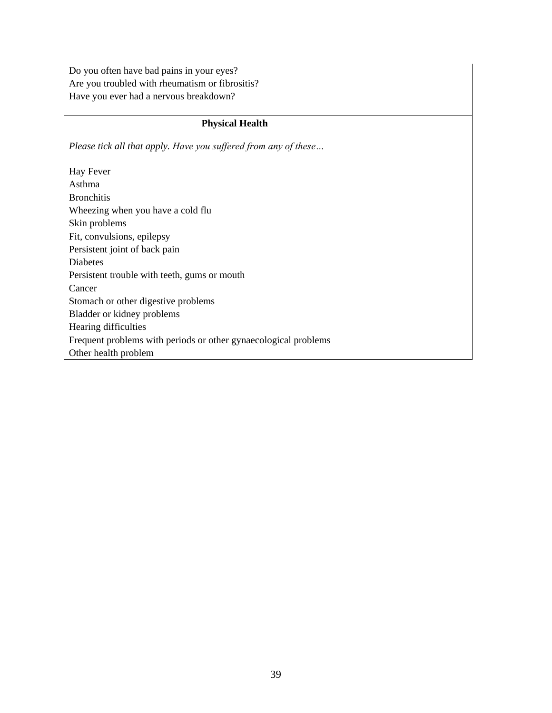Do you often have bad pains in your eyes? Are you troubled with rheumatism or fibrositis? Have you ever had a nervous breakdown?

#### **Physical Health**

*Please tick all that apply. Have you suffered from any of these…*

Hay Fever Asthma Bronchitis Wheezing when you have a cold flu Skin problems Fit, convulsions, epilepsy Persistent joint of back pain Diabetes Persistent trouble with teeth, gums or mouth Cancer Stomach or other digestive problems Bladder or kidney problems Hearing difficulties Frequent problems with periods or other gynaecological problems Other health problem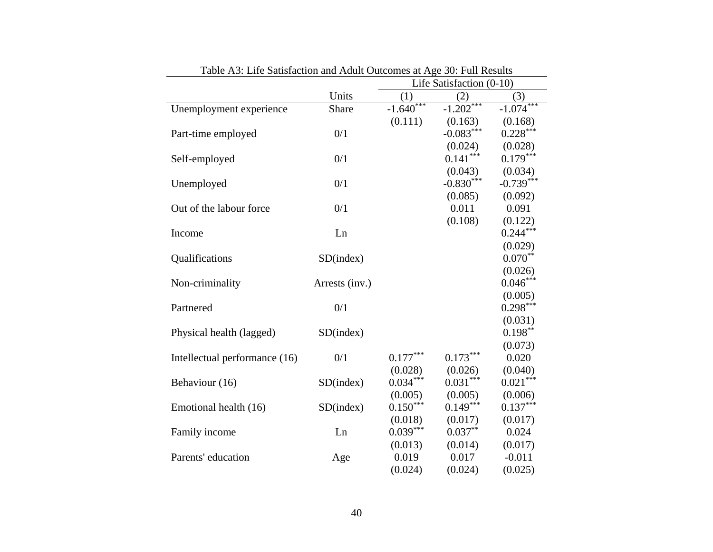|                               |                | Table A3: Life Sausfaction and Adult Outcomes at Age 30: Full Results<br>Life Satisfaction $(0-10)$ |                   |             |  |
|-------------------------------|----------------|-----------------------------------------------------------------------------------------------------|-------------------|-------------|--|
|                               | Units          | (1)                                                                                                 | (2)               | (3)         |  |
| Unemployment experience       | Share          | $-1.640***$                                                                                         | $\frac{2}{1.202}$ | $-1.074***$ |  |
|                               |                | (0.111)                                                                                             | (0.163)           | (0.168)     |  |
| Part-time employed            | 0/1            |                                                                                                     | $-0.083***$       | $0.228***$  |  |
|                               |                |                                                                                                     | (0.024)           | (0.028)     |  |
| Self-employed                 | 0/1            |                                                                                                     | $0.141***$        | $0.179***$  |  |
|                               |                |                                                                                                     | (0.043)           | (0.034)     |  |
| Unemployed                    | 0/1            |                                                                                                     | $-0.830***$       | $-0.739***$ |  |
|                               |                |                                                                                                     | (0.085)           | (0.092)     |  |
| Out of the labour force       | 0/1            |                                                                                                     | 0.011             | 0.091       |  |
|                               |                |                                                                                                     | (0.108)           | (0.122)     |  |
| Income                        | Ln             |                                                                                                     |                   | $0.244***$  |  |
|                               |                |                                                                                                     |                   | (0.029)     |  |
| Qualifications                | SD(index)      |                                                                                                     |                   | $0.070**$   |  |
|                               |                |                                                                                                     |                   | (0.026)     |  |
| Non-criminality               | Arrests (inv.) |                                                                                                     |                   | $0.046***$  |  |
|                               |                |                                                                                                     |                   | (0.005)     |  |
| Partnered                     | 0/1            |                                                                                                     |                   | $0.298***$  |  |
|                               |                |                                                                                                     |                   | (0.031)     |  |
| Physical health (lagged)      | SD(index)      |                                                                                                     |                   | $0.198***$  |  |
|                               |                |                                                                                                     |                   | (0.073)     |  |
| Intellectual performance (16) | 0/1            | $0.177***$                                                                                          | $0.173***$        | 0.020       |  |
|                               |                | (0.028)                                                                                             | (0.026)           | (0.040)     |  |
| Behaviour (16)                | SD(index)      | $0.034***$                                                                                          | $0.031***$        | $0.021***$  |  |
|                               |                | (0.005)                                                                                             | (0.005)           | (0.006)     |  |
| Emotional health (16)         | SD(index)      | $0.150***$                                                                                          | $0.149***$        | $0.137***$  |  |
|                               |                | (0.018)                                                                                             | (0.017)           | (0.017)     |  |
| Family income                 | Ln             | $0.039***$                                                                                          | $0.037**$         | 0.024       |  |
|                               |                | (0.013)                                                                                             | (0.014)           | (0.017)     |  |
| Parents' education            | Age            | 0.019                                                                                               | 0.017             | $-0.011$    |  |
|                               |                | (0.024)                                                                                             | (0.024)           | (0.025)     |  |

Table A3: Life Satisfaction and Adult Outcomes at Age 30: Full Results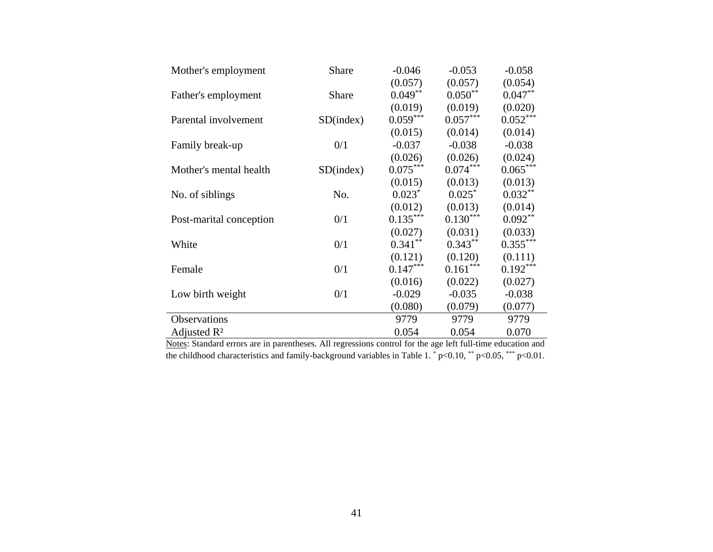| Mother's employment     | Share     | $-0.046$   | $-0.053$   | $-0.058$   |
|-------------------------|-----------|------------|------------|------------|
|                         |           | (0.057)    | (0.057)    | (0.054)    |
| Father's employment     | Share     | $0.049**$  | $0.050**$  | $0.047**$  |
|                         |           | (0.019)    | (0.019)    | (0.020)    |
| Parental involvement    | SD(index) | $0.059***$ | $0.057***$ | $0.052***$ |
|                         |           | (0.015)    | (0.014)    | (0.014)    |
| Family break-up         | 0/1       | $-0.037$   | $-0.038$   | $-0.038$   |
|                         |           | (0.026)    | (0.026)    | (0.024)    |
| Mother's mental health  | SD(index) | $0.075***$ | $0.074***$ | $0.065***$ |
|                         |           | (0.015)    | (0.013)    | (0.013)    |
| No. of siblings         | No.       | $0.023*$   | $0.025*$   | $0.032***$ |
|                         |           | (0.012)    | (0.013)    | (0.014)    |
| Post-marital conception | 0/1       | $0.135***$ | $0.130***$ | $0.092**$  |
|                         |           | (0.027)    | (0.031)    | (0.033)    |
| White                   | 0/1       | $0.341***$ | $0.343**$  | $0.355***$ |
|                         |           | (0.121)    | (0.120)    | (0.111)    |
| Female                  | 0/1       | $0.147***$ | $0.161***$ | $0.192***$ |
|                         |           | (0.016)    | (0.022)    | (0.027)    |
| Low birth weight        | 0/1       | $-0.029$   | $-0.035$   | $-0.038$   |
|                         |           | (0.080)    | (0.079)    | (0.077)    |
| Observations            |           | 9779       | 9779       | 9779       |
| Adjusted $\mathbb{R}^2$ |           | 0.054      | 0.054      | 0.070      |

Notes: Standard errors are in parentheses. All regressions control for the age left full-time education and the childhood characteristics and family-background variables in Table 1.  $*$  p<0.10,  $*$  p<0.05,  $***$  p<0.01.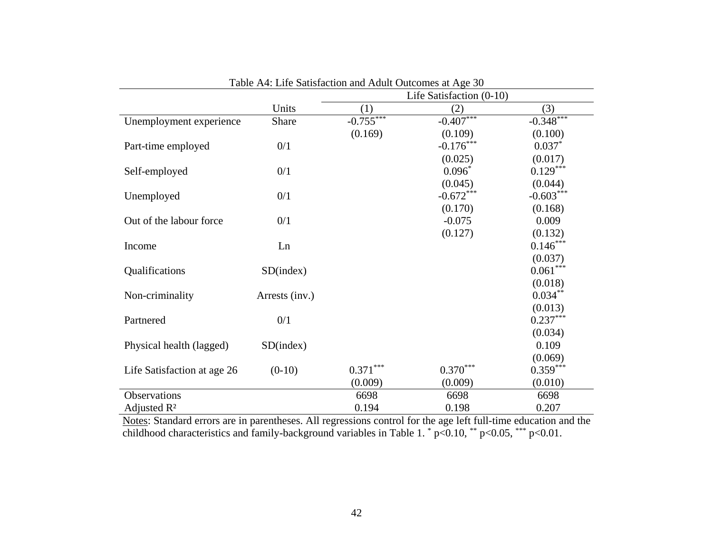|                             |                | Life Satisfaction (0-10) |             |             |  |  |
|-----------------------------|----------------|--------------------------|-------------|-------------|--|--|
|                             | Units          | (1)                      | (2)         | (3)         |  |  |
| Unemployment experience     | Share          | $-0.755***$              | $-0.407***$ | $-0.348***$ |  |  |
|                             |                | (0.169)                  | (0.109)     | (0.100)     |  |  |
| Part-time employed          | 0/1            |                          | $-0.176***$ | $0.037*$    |  |  |
|                             |                |                          | (0.025)     | (0.017)     |  |  |
| Self-employed               | 0/1            |                          | $0.096*$    | $0.129***$  |  |  |
|                             |                |                          | (0.045)     | (0.044)     |  |  |
| Unemployed                  | 0/1            |                          | $-0.672***$ | $-0.603***$ |  |  |
|                             |                |                          | (0.170)     | (0.168)     |  |  |
| Out of the labour force     | 0/1            |                          | $-0.075$    | 0.009       |  |  |
|                             |                |                          | (0.127)     | (0.132)     |  |  |
| Income                      | Ln             |                          |             | $0.146***$  |  |  |
|                             |                |                          |             | (0.037)     |  |  |
| Qualifications              | SD(index)      |                          |             | $0.061***$  |  |  |
|                             |                |                          |             | (0.018)     |  |  |
| Non-criminality             | Arrests (inv.) |                          |             | $0.034***$  |  |  |
|                             |                |                          |             | (0.013)     |  |  |
| Partnered                   | 0/1            |                          |             | $0.237***$  |  |  |
|                             |                |                          |             | (0.034)     |  |  |
| Physical health (lagged)    | SD(index)      |                          |             | 0.109       |  |  |
|                             |                |                          |             | (0.069)     |  |  |
| Life Satisfaction at age 26 | $(0-10)$       | $0.371***$               | $0.370***$  | $0.359***$  |  |  |
|                             |                | (0.009)                  | (0.009)     | (0.010)     |  |  |
| Observations                |                | 6698                     | 6698        | 6698        |  |  |
| Adjusted $\mathbb{R}^2$     |                | 0.194                    | 0.198       | 0.207       |  |  |

Table A4: Life Satisfaction and Adult Outcomes at Age 30

Notes: Standard errors are in parentheses. All regressions control for the age left full-time education and the childhood characteristics and family-background variables in Table 1.  $^{*}$  p<0.10,  $^{**}$  p<0.05,  $^{***}$  p<0.01.